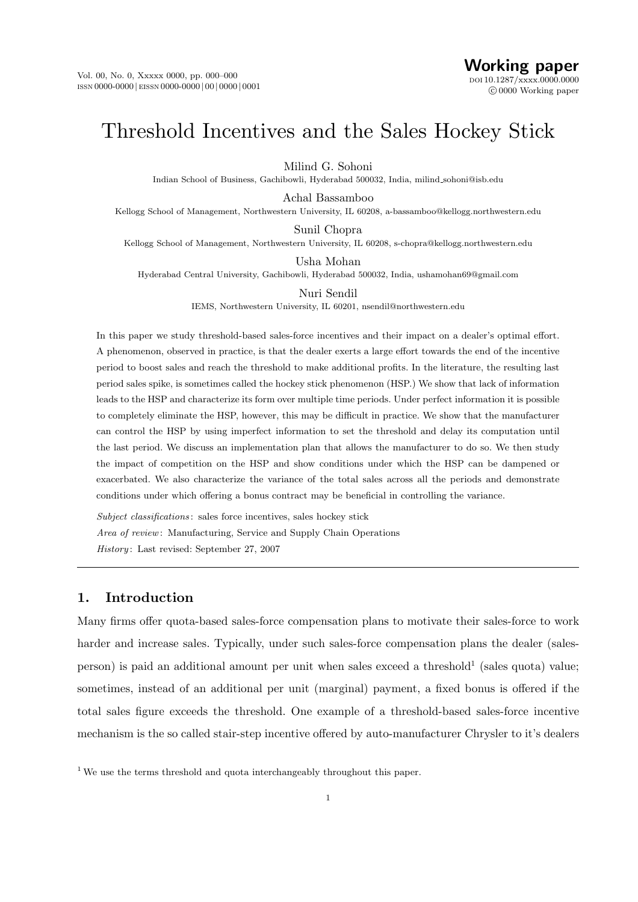# Threshold Incentives and the Sales Hockey Stick

Milind G. Sohoni

Indian School of Business, Gachibowli, Hyderabad 500032, India, milind sohoni@isb.edu

Achal Bassamboo

Kellogg School of Management, Northwestern University, IL 60208, a-bassamboo@kellogg.northwestern.edu

Sunil Chopra

Kellogg School of Management, Northwestern University, IL 60208, s-chopra@kellogg.northwestern.edu

Usha Mohan

Hyderabad Central University, Gachibowli, Hyderabad 500032, India, ushamohan69@gmail.com

Nuri Sendil

IEMS, Northwestern University, IL 60201, nsendil@northwestern.edu

In this paper we study threshold-based sales-force incentives and their impact on a dealer's optimal effort. A phenomenon, observed in practice, is that the dealer exerts a large effort towards the end of the incentive period to boost sales and reach the threshold to make additional profits. In the literature, the resulting last period sales spike, is sometimes called the hockey stick phenomenon (HSP.) We show that lack of information leads to the HSP and characterize its form over multiple time periods. Under perfect information it is possible to completely eliminate the HSP, however, this may be difficult in practice. We show that the manufacturer can control the HSP by using imperfect information to set the threshold and delay its computation until the last period. We discuss an implementation plan that allows the manufacturer to do so. We then study the impact of competition on the HSP and show conditions under which the HSP can be dampened or exacerbated. We also characterize the variance of the total sales across all the periods and demonstrate conditions under which offering a bonus contract may be beneficial in controlling the variance.

Subject classifications: sales force incentives, sales hockey stick Area of review: Manufacturing, Service and Supply Chain Operations History: Last revised: September 27, 2007

# 1. Introduction

Many firms offer quota-based sales-force compensation plans to motivate their sales-force to work harder and increase sales. Typically, under such sales-force compensation plans the dealer (sales- $\beta$  person) is paid an additional amount per unit when sales exceed a threshold<sup>1</sup> (sales quota) value; sometimes, instead of an additional per unit (marginal) payment, a fixed bonus is offered if the total sales figure exceeds the threshold. One example of a threshold-based sales-force incentive mechanism is the so called stair-step incentive offered by auto-manufacturer Chrysler to it's dealers

<sup>&</sup>lt;sup>1</sup> We use the terms threshold and quota interchangeably throughout this paper.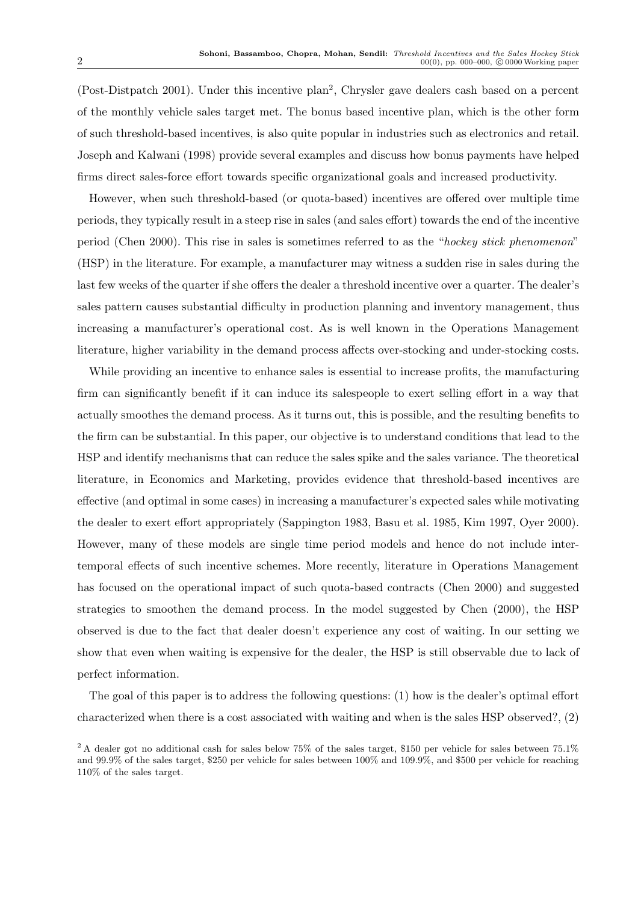(Post-Distpatch 2001). Under this incentive plan<sup>2</sup>, Chrysler gave dealers cash based on a percent of the monthly vehicle sales target met. The bonus based incentive plan, which is the other form of such threshold-based incentives, is also quite popular in industries such as electronics and retail. Joseph and Kalwani (1998) provide several examples and discuss how bonus payments have helped firms direct sales-force effort towards specific organizational goals and increased productivity.

However, when such threshold-based (or quota-based) incentives are offered over multiple time periods, they typically result in a steep rise in sales (and sales effort) towards the end of the incentive period (Chen 2000). This rise in sales is sometimes referred to as the "hockey stick phenomenon" (HSP) in the literature. For example, a manufacturer may witness a sudden rise in sales during the last few weeks of the quarter if she offers the dealer a threshold incentive over a quarter. The dealer's sales pattern causes substantial difficulty in production planning and inventory management, thus increasing a manufacturer's operational cost. As is well known in the Operations Management literature, higher variability in the demand process affects over-stocking and under-stocking costs.

While providing an incentive to enhance sales is essential to increase profits, the manufacturing firm can significantly benefit if it can induce its salespeople to exert selling effort in a way that actually smoothes the demand process. As it turns out, this is possible, and the resulting benefits to the firm can be substantial. In this paper, our objective is to understand conditions that lead to the HSP and identify mechanisms that can reduce the sales spike and the sales variance. The theoretical literature, in Economics and Marketing, provides evidence that threshold-based incentives are effective (and optimal in some cases) in increasing a manufacturer's expected sales while motivating the dealer to exert effort appropriately (Sappington 1983, Basu et al. 1985, Kim 1997, Oyer 2000). However, many of these models are single time period models and hence do not include intertemporal effects of such incentive schemes. More recently, literature in Operations Management has focused on the operational impact of such quota-based contracts (Chen 2000) and suggested strategies to smoothen the demand process. In the model suggested by Chen (2000), the HSP observed is due to the fact that dealer doesn't experience any cost of waiting. In our setting we show that even when waiting is expensive for the dealer, the HSP is still observable due to lack of perfect information.

The goal of this paper is to address the following questions: (1) how is the dealer's optimal effort characterized when there is a cost associated with waiting and when is the sales HSP observed?, (2)

<sup>&</sup>lt;sup>2</sup> A dealer got no additional cash for sales below 75% of the sales target, \$150 per vehicle for sales between 75.1% and 99.9% of the sales target, \$250 per vehicle for sales between 100% and 109.9%, and \$500 per vehicle for reaching 110% of the sales target.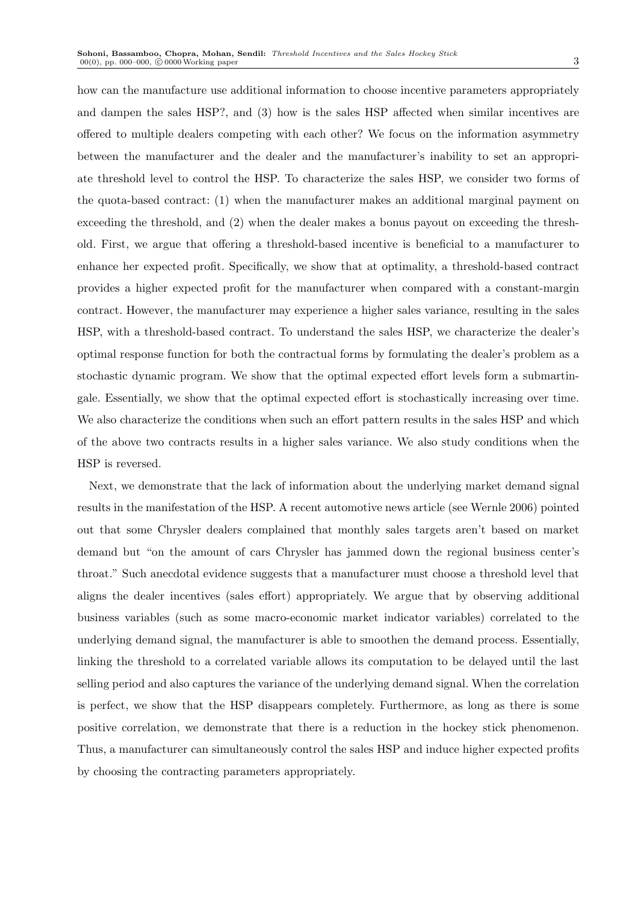how can the manufacture use additional information to choose incentive parameters appropriately and dampen the sales HSP?, and (3) how is the sales HSP affected when similar incentives are offered to multiple dealers competing with each other? We focus on the information asymmetry between the manufacturer and the dealer and the manufacturer's inability to set an appropriate threshold level to control the HSP. To characterize the sales HSP, we consider two forms of the quota-based contract: (1) when the manufacturer makes an additional marginal payment on exceeding the threshold, and (2) when the dealer makes a bonus payout on exceeding the threshold. First, we argue that offering a threshold-based incentive is beneficial to a manufacturer to enhance her expected profit. Specifically, we show that at optimality, a threshold-based contract provides a higher expected profit for the manufacturer when compared with a constant-margin contract. However, the manufacturer may experience a higher sales variance, resulting in the sales HSP, with a threshold-based contract. To understand the sales HSP, we characterize the dealer's optimal response function for both the contractual forms by formulating the dealer's problem as a stochastic dynamic program. We show that the optimal expected effort levels form a submartingale. Essentially, we show that the optimal expected effort is stochastically increasing over time. We also characterize the conditions when such an effort pattern results in the sales HSP and which of the above two contracts results in a higher sales variance. We also study conditions when the HSP is reversed.

Next, we demonstrate that the lack of information about the underlying market demand signal results in the manifestation of the HSP. A recent automotive news article (see Wernle 2006) pointed out that some Chrysler dealers complained that monthly sales targets aren't based on market demand but "on the amount of cars Chrysler has jammed down the regional business center's throat." Such anecdotal evidence suggests that a manufacturer must choose a threshold level that aligns the dealer incentives (sales effort) appropriately. We argue that by observing additional business variables (such as some macro-economic market indicator variables) correlated to the underlying demand signal, the manufacturer is able to smoothen the demand process. Essentially, linking the threshold to a correlated variable allows its computation to be delayed until the last selling period and also captures the variance of the underlying demand signal. When the correlation is perfect, we show that the HSP disappears completely. Furthermore, as long as there is some positive correlation, we demonstrate that there is a reduction in the hockey stick phenomenon. Thus, a manufacturer can simultaneously control the sales HSP and induce higher expected profits by choosing the contracting parameters appropriately.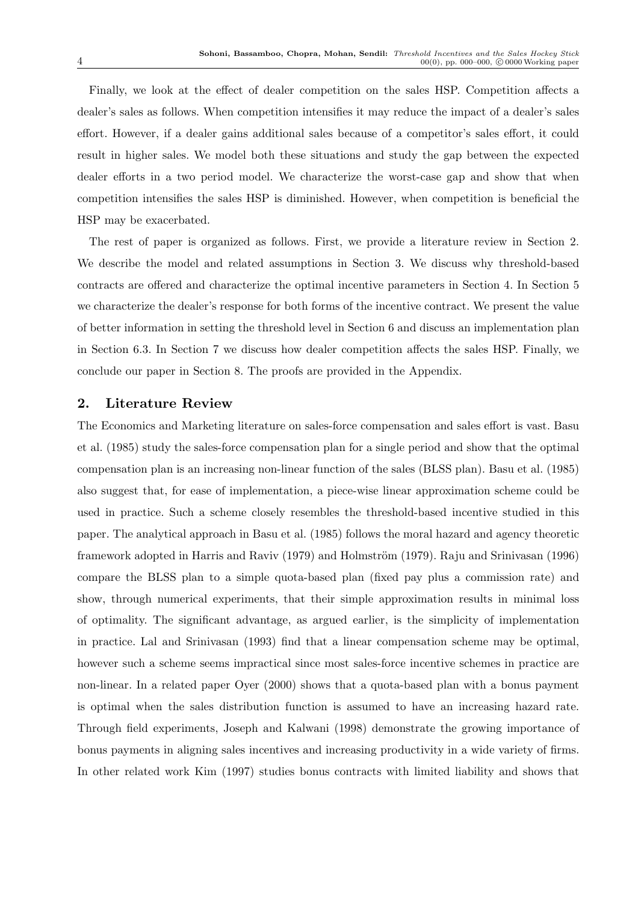Finally, we look at the effect of dealer competition on the sales HSP. Competition affects a dealer's sales as follows. When competition intensifies it may reduce the impact of a dealer's sales effort. However, if a dealer gains additional sales because of a competitor's sales effort, it could result in higher sales. We model both these situations and study the gap between the expected dealer efforts in a two period model. We characterize the worst-case gap and show that when competition intensifies the sales HSP is diminished. However, when competition is beneficial the HSP may be exacerbated.

The rest of paper is organized as follows. First, we provide a literature review in Section 2. We describe the model and related assumptions in Section 3. We discuss why threshold-based contracts are offered and characterize the optimal incentive parameters in Section 4. In Section 5 we characterize the dealer's response for both forms of the incentive contract. We present the value of better information in setting the threshold level in Section 6 and discuss an implementation plan in Section 6.3. In Section 7 we discuss how dealer competition affects the sales HSP. Finally, we conclude our paper in Section 8. The proofs are provided in the Appendix.

# 2. Literature Review

The Economics and Marketing literature on sales-force compensation and sales effort is vast. Basu et al. (1985) study the sales-force compensation plan for a single period and show that the optimal compensation plan is an increasing non-linear function of the sales (BLSS plan). Basu et al. (1985) also suggest that, for ease of implementation, a piece-wise linear approximation scheme could be used in practice. Such a scheme closely resembles the threshold-based incentive studied in this paper. The analytical approach in Basu et al. (1985) follows the moral hazard and agency theoretic framework adopted in Harris and Raviv (1979) and Holmström (1979). Raju and Srinivasan (1996) compare the BLSS plan to a simple quota-based plan (fixed pay plus a commission rate) and show, through numerical experiments, that their simple approximation results in minimal loss of optimality. The significant advantage, as argued earlier, is the simplicity of implementation in practice. Lal and Srinivasan (1993) find that a linear compensation scheme may be optimal, however such a scheme seems impractical since most sales-force incentive schemes in practice are non-linear. In a related paper Oyer (2000) shows that a quota-based plan with a bonus payment is optimal when the sales distribution function is assumed to have an increasing hazard rate. Through field experiments, Joseph and Kalwani (1998) demonstrate the growing importance of bonus payments in aligning sales incentives and increasing productivity in a wide variety of firms. In other related work Kim (1997) studies bonus contracts with limited liability and shows that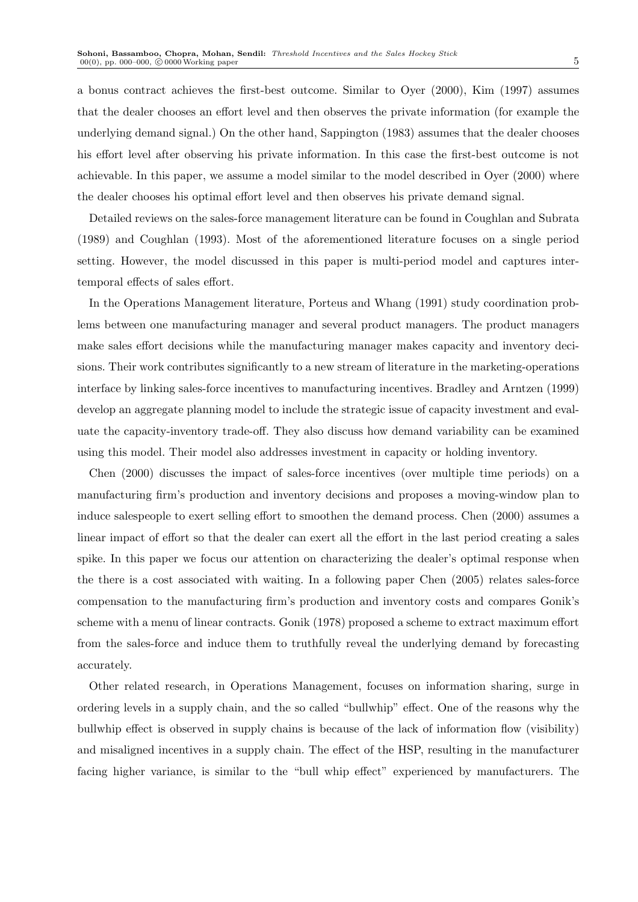a bonus contract achieves the first-best outcome. Similar to Oyer (2000), Kim (1997) assumes that the dealer chooses an effort level and then observes the private information (for example the underlying demand signal.) On the other hand, Sappington (1983) assumes that the dealer chooses his effort level after observing his private information. In this case the first-best outcome is not achievable. In this paper, we assume a model similar to the model described in Oyer (2000) where the dealer chooses his optimal effort level and then observes his private demand signal.

Detailed reviews on the sales-force management literature can be found in Coughlan and Subrata (1989) and Coughlan (1993). Most of the aforementioned literature focuses on a single period setting. However, the model discussed in this paper is multi-period model and captures intertemporal effects of sales effort.

In the Operations Management literature, Porteus and Whang (1991) study coordination problems between one manufacturing manager and several product managers. The product managers make sales effort decisions while the manufacturing manager makes capacity and inventory decisions. Their work contributes significantly to a new stream of literature in the marketing-operations interface by linking sales-force incentives to manufacturing incentives. Bradley and Arntzen (1999) develop an aggregate planning model to include the strategic issue of capacity investment and evaluate the capacity-inventory trade-off. They also discuss how demand variability can be examined using this model. Their model also addresses investment in capacity or holding inventory.

Chen (2000) discusses the impact of sales-force incentives (over multiple time periods) on a manufacturing firm's production and inventory decisions and proposes a moving-window plan to induce salespeople to exert selling effort to smoothen the demand process. Chen (2000) assumes a linear impact of effort so that the dealer can exert all the effort in the last period creating a sales spike. In this paper we focus our attention on characterizing the dealer's optimal response when the there is a cost associated with waiting. In a following paper Chen (2005) relates sales-force compensation to the manufacturing firm's production and inventory costs and compares Gonik's scheme with a menu of linear contracts. Gonik (1978) proposed a scheme to extract maximum effort from the sales-force and induce them to truthfully reveal the underlying demand by forecasting accurately.

Other related research, in Operations Management, focuses on information sharing, surge in ordering levels in a supply chain, and the so called "bullwhip" effect. One of the reasons why the bullwhip effect is observed in supply chains is because of the lack of information flow (visibility) and misaligned incentives in a supply chain. The effect of the HSP, resulting in the manufacturer facing higher variance, is similar to the "bull whip effect" experienced by manufacturers. The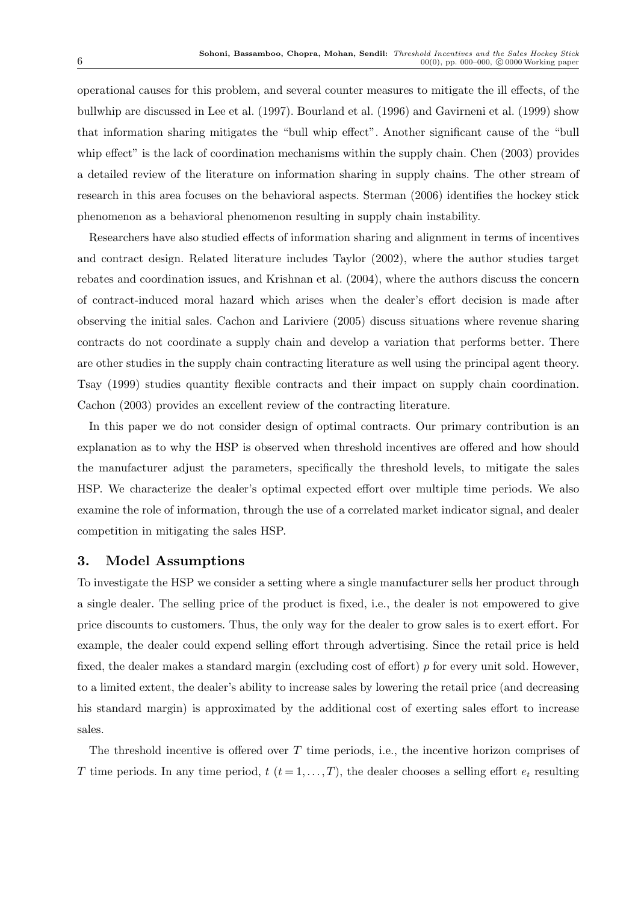operational causes for this problem, and several counter measures to mitigate the ill effects, of the bullwhip are discussed in Lee et al. (1997). Bourland et al. (1996) and Gavirneni et al. (1999) show that information sharing mitigates the "bull whip effect". Another significant cause of the "bull whip effect" is the lack of coordination mechanisms within the supply chain. Chen (2003) provides a detailed review of the literature on information sharing in supply chains. The other stream of research in this area focuses on the behavioral aspects. Sterman (2006) identifies the hockey stick phenomenon as a behavioral phenomenon resulting in supply chain instability.

Researchers have also studied effects of information sharing and alignment in terms of incentives and contract design. Related literature includes Taylor (2002), where the author studies target rebates and coordination issues, and Krishnan et al. (2004), where the authors discuss the concern of contract-induced moral hazard which arises when the dealer's effort decision is made after observing the initial sales. Cachon and Lariviere (2005) discuss situations where revenue sharing contracts do not coordinate a supply chain and develop a variation that performs better. There are other studies in the supply chain contracting literature as well using the principal agent theory. Tsay (1999) studies quantity flexible contracts and their impact on supply chain coordination. Cachon (2003) provides an excellent review of the contracting literature.

In this paper we do not consider design of optimal contracts. Our primary contribution is an explanation as to why the HSP is observed when threshold incentives are offered and how should the manufacturer adjust the parameters, specifically the threshold levels, to mitigate the sales HSP. We characterize the dealer's optimal expected effort over multiple time periods. We also examine the role of information, through the use of a correlated market indicator signal, and dealer competition in mitigating the sales HSP.

# 3. Model Assumptions

To investigate the HSP we consider a setting where a single manufacturer sells her product through a single dealer. The selling price of the product is fixed, i.e., the dealer is not empowered to give price discounts to customers. Thus, the only way for the dealer to grow sales is to exert effort. For example, the dealer could expend selling effort through advertising. Since the retail price is held fixed, the dealer makes a standard margin (excluding cost of effort) p for every unit sold. However, to a limited extent, the dealer's ability to increase sales by lowering the retail price (and decreasing his standard margin) is approximated by the additional cost of exerting sales effort to increase sales.

The threshold incentive is offered over  $T$  time periods, i.e., the incentive horizon comprises of T time periods. In any time period,  $t$   $(t = 1, \ldots, T)$ , the dealer chooses a selling effort  $e_t$  resulting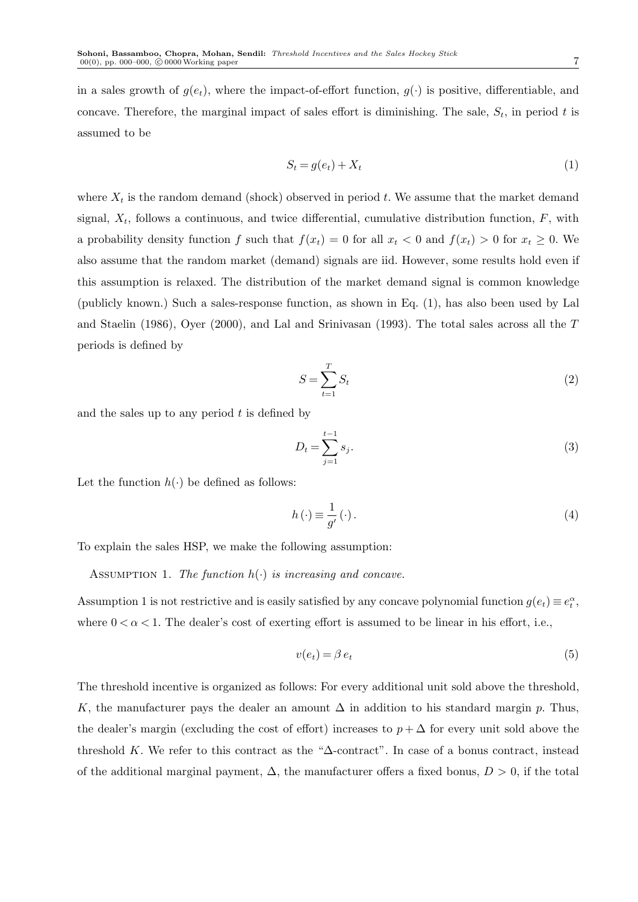in a sales growth of  $g(e_t)$ , where the impact-of-effort function,  $g(\cdot)$  is positive, differentiable, and concave. Therefore, the marginal impact of sales effort is diminishing. The sale,  $S_t$ , in period t is assumed to be

$$
S_t = g(e_t) + X_t \tag{1}
$$

where  $X_t$  is the random demand (shock) observed in period t. We assume that the market demand signal,  $X_t$ , follows a continuous, and twice differential, cumulative distribution function,  $F$ , with a probability density function f such that  $f(x_t) = 0$  for all  $x_t < 0$  and  $f(x_t) > 0$  for  $x_t \ge 0$ . We also assume that the random market (demand) signals are iid. However, some results hold even if this assumption is relaxed. The distribution of the market demand signal is common knowledge (publicly known.) Such a sales-response function, as shown in Eq. (1), has also been used by Lal and Staelin (1986), Oyer (2000), and Lal and Srinivasan (1993). The total sales across all the T periods is defined by

$$
S = \sum_{t=1}^{T} S_t \tag{2}
$$

and the sales up to any period  $t$  is defined by

$$
D_t = \sum_{j=1}^{t-1} s_j.
$$
 (3)

Let the function  $h(\cdot)$  be defined as follows:

$$
h\left(\cdot\right) \equiv \frac{1}{g'}\left(\cdot\right). \tag{4}
$$

To explain the sales HSP, we make the following assumption:

ASSUMPTION 1. The function  $h(\cdot)$  is increasing and concave.

Assumption 1 is not restrictive and is easily satisfied by any concave polynomial function  $g(e_t) \equiv e_t^{\alpha}$ , where  $0 < \alpha < 1$ . The dealer's cost of exerting effort is assumed to be linear in his effort, i.e.,

$$
v(e_t) = \beta e_t \tag{5}
$$

The threshold incentive is organized as follows: For every additional unit sold above the threshold, K, the manufacturer pays the dealer an amount  $\Delta$  in addition to his standard margin p. Thus, the dealer's margin (excluding the cost of effort) increases to  $p + \Delta$  for every unit sold above the threshold K. We refer to this contract as the " $\Delta$ -contract". In case of a bonus contract, instead of the additional marginal payment,  $\Delta$ , the manufacturer offers a fixed bonus,  $D > 0$ , if the total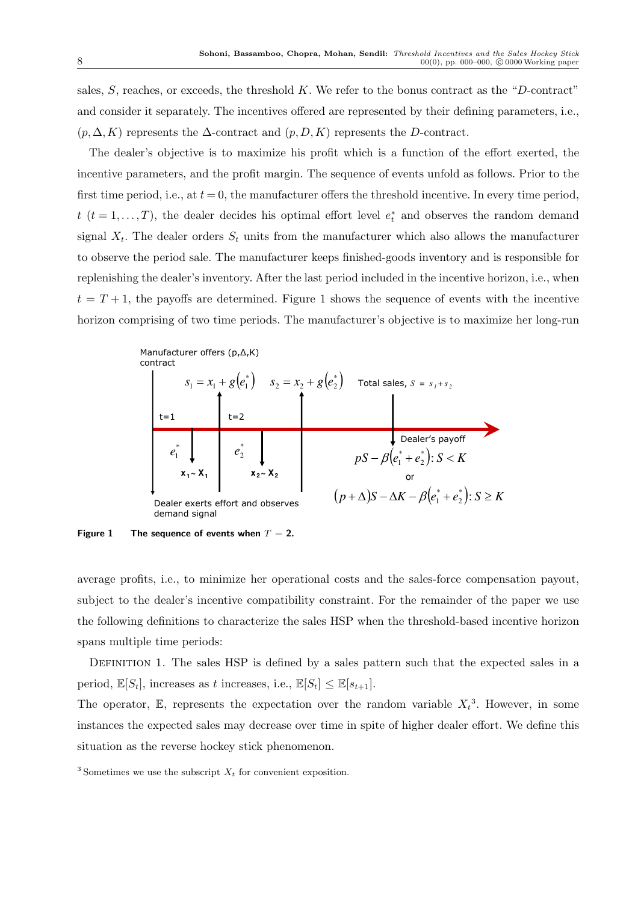sales, S, reaches, or exceeds, the threshold K. We refer to the bonus contract as the "D-contract" and consider it separately. The incentives offered are represented by their defining parameters, i.e.,  $(p, \Delta, K)$  represents the  $\Delta$ -contract and  $(p, D, K)$  represents the D-contract.

The dealer's objective is to maximize his profit which is a function of the effort exerted, the incentive parameters, and the profit margin. The sequence of events unfold as follows. Prior to the first time period, i.e., at  $t = 0$ , the manufacturer offers the threshold incentive. In every time period, t  $(t = 1, \ldots, T)$ , the dealer decides his optimal effort level  $e_t^*$  and observes the random demand signal  $X_t$ . The dealer orders  $S_t$  units from the manufacturer which also allows the manufacturer to observe the period sale. The manufacturer keeps finished-goods inventory and is responsible for replenishing the dealer's inventory. After the last period included in the incentive horizon, i.e., when  $t = T + 1$ , the payoffs are determined. Figure 1 shows the sequence of events with the incentive horizon comprising of two time periods. The manufacturer's objective is to maximize her long-run



Figure 1 The sequence of events when  $T = 2$ .

average profits, i.e., to minimize her operational costs and the sales-force compensation payout, subject to the dealer's incentive compatibility constraint. For the remainder of the paper we use the following definitions to characterize the sales HSP when the threshold-based incentive horizon spans multiple time periods:

DEFINITION 1. The sales HSP is defined by a sales pattern such that the expected sales in a period,  $\mathbb{E}[S_t]$ , increases as t increases, i.e.,  $\mathbb{E}[S_t] \leq \mathbb{E}[s_{t+1}]$ .

The operator, E, represents the expectation over the random variable  $X_t^3$ . However, in some instances the expected sales may decrease over time in spite of higher dealer effort. We define this situation as the reverse hockey stick phenomenon.

<sup>&</sup>lt;sup>3</sup> Sometimes we use the subscript  $X_t$  for convenient exposition.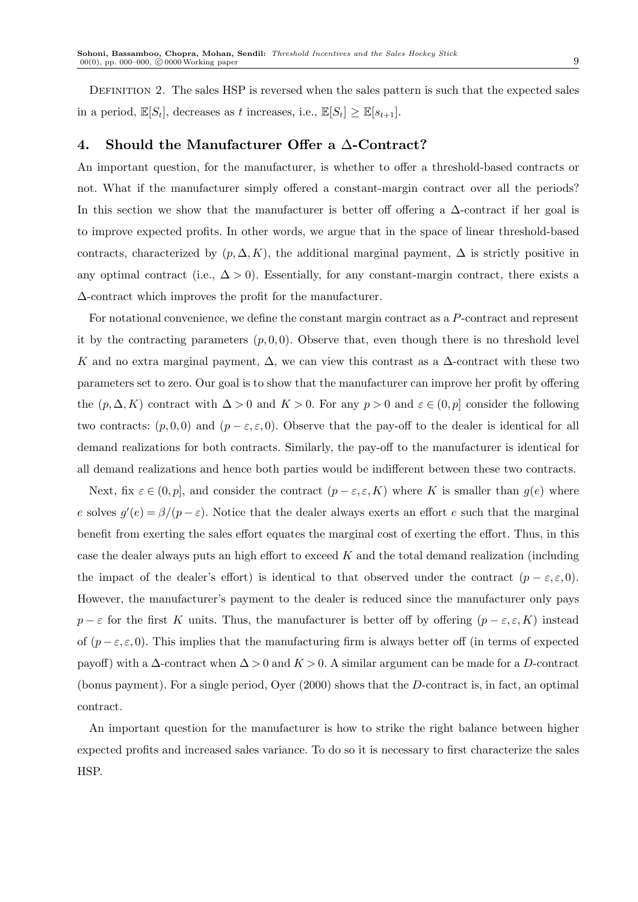DEFINITION 2. The sales HSP is reversed when the sales pattern is such that the expected sales in a period,  $\mathbb{E}[S_t]$ , decreases as t increases, i.e.,  $\mathbb{E}[S_t] \geq \mathbb{E}[s_{t+1}]$ .

## 4. Should the Manufacturer Offer a ∆-Contract?

An important question, for the manufacturer, is whether to offer a threshold-based contracts or not. What if the manufacturer simply offered a constant-margin contract over all the periods? In this section we show that the manufacturer is better off offering a  $\Delta$ -contract if her goal is to improve expected profits. In other words, we argue that in the space of linear threshold-based contracts, characterized by  $(p, \Delta, K)$ , the additional marginal payment,  $\Delta$  is strictly positive in any optimal contract (i.e.,  $\Delta > 0$ ). Essentially, for any constant-margin contract, there exists a ∆-contract which improves the profit for the manufacturer.

For notational convenience, we define the constant margin contract as a P-contract and represent it by the contracting parameters  $(p, 0, 0)$ . Observe that, even though there is no threshold level K and no extra marginal payment,  $\Delta$ , we can view this contrast as a  $\Delta$ -contract with these two parameters set to zero. Our goal is to show that the manufacturer can improve her profit by offering the  $(p, \Delta, K)$  contract with  $\Delta > 0$  and  $K > 0$ . For any  $p > 0$  and  $\varepsilon \in (0, p]$  consider the following two contracts:  $(p, 0, 0)$  and  $(p - \varepsilon, \varepsilon, 0)$ . Observe that the pay-off to the dealer is identical for all demand realizations for both contracts. Similarly, the pay-off to the manufacturer is identical for all demand realizations and hence both parties would be indifferent between these two contracts.

Next, fix  $\varepsilon \in (0,p]$ , and consider the contract  $(p-\varepsilon,\varepsilon,K)$  where K is smaller than  $g(e)$  where e solves  $g'(e) = \frac{\beta}{p - \varepsilon}$ . Notice that the dealer always exerts an effort e such that the marginal benefit from exerting the sales effort equates the marginal cost of exerting the effort. Thus, in this case the dealer always puts an high effort to exceed  $K$  and the total demand realization (including the impact of the dealer's effort) is identical to that observed under the contract  $(p - \varepsilon, \varepsilon, 0)$ . However, the manufacturer's payment to the dealer is reduced since the manufacturer only pays  $p - \varepsilon$  for the first K units. Thus, the manufacturer is better off by offering  $(p - \varepsilon, \varepsilon, K)$  instead of  $(p - \varepsilon, \varepsilon, 0)$ . This implies that the manufacturing firm is always better off (in terms of expected payoff) with a  $\Delta$ -contract when  $\Delta > 0$  and  $K > 0$ . A similar argument can be made for a D-contract (bonus payment). For a single period, Oyer (2000) shows that the D-contract is, in fact, an optimal contract.

An important question for the manufacturer is how to strike the right balance between higher expected profits and increased sales variance. To do so it is necessary to first characterize the sales HSP.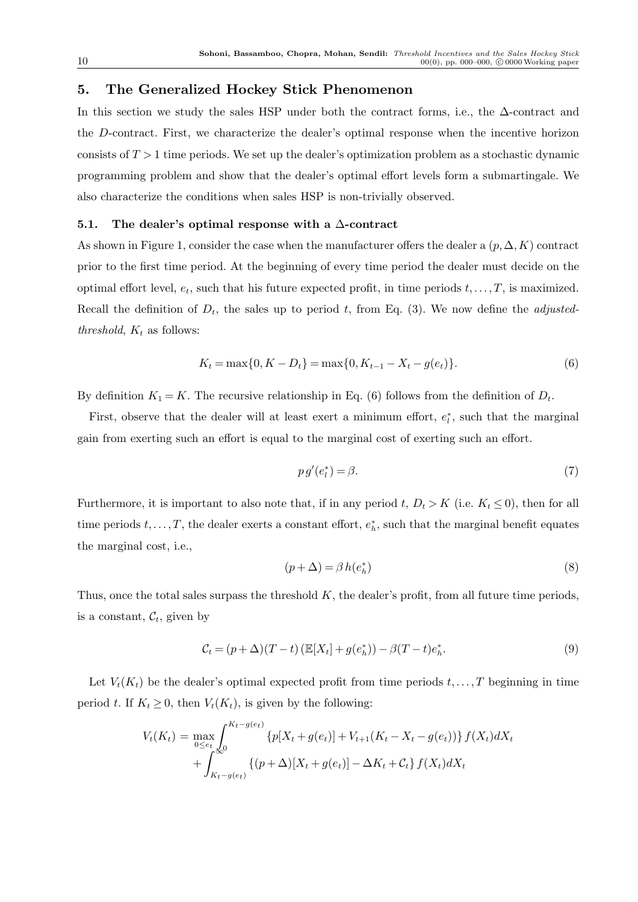# 5. The Generalized Hockey Stick Phenomenon

In this section we study the sales HSP under both the contract forms, i.e., the ∆-contract and the D-contract. First, we characterize the dealer's optimal response when the incentive horizon consists of  $T > 1$  time periods. We set up the dealer's optimization problem as a stochastic dynamic programming problem and show that the dealer's optimal effort levels form a submartingale. We also characterize the conditions when sales HSP is non-trivially observed.

## 5.1. The dealer's optimal response with a  $\Delta$ -contract

As shown in Figure 1, consider the case when the manufacturer offers the dealer a  $(p, \Delta, K)$  contract prior to the first time period. At the beginning of every time period the dealer must decide on the optimal effort level,  $e_t$ , such that his future expected profit, in time periods  $t, \ldots, T$ , is maximized. Recall the definition of  $D_t$ , the sales up to period t, from Eq. (3). We now define the *adjusted*threshold,  $K_t$  as follows:

$$
K_t = \max\{0, K - D_t\} = \max\{0, K_{t-1} - X_t - g(e_t)\}.
$$
\n(6)

By definition  $K_1 = K$ . The recursive relationship in Eq. (6) follows from the definition of  $D_t$ .

First, observe that the dealer will at least exert a minimum effort,  $e_t^*$ , such that the marginal gain from exerting such an effort is equal to the marginal cost of exerting such an effort.

$$
pg'(e_l^*) = \beta. \tag{7}
$$

Furthermore, it is important to also note that, if in any period t,  $D_t > K$  (i.e.  $K_t \leq 0$ ), then for all time periods  $t, \ldots, T$ , the dealer exerts a constant effort,  $e_h^*$ , such that the marginal benefit equates the marginal cost, i.e.,

$$
(p + \Delta) = \beta h(e_h^*)
$$
\n(8)

Thus, once the total sales surpass the threshold  $K$ , the dealer's profit, from all future time periods, is a constant,  $\mathcal{C}_t$ , given by

$$
C_t = (p + \Delta)(T - t) \left( \mathbb{E}[X_t] + g(e_h^*) \right) - \beta (T - t) e_h^*.
$$
 (9)

Let  $V_t(K_t)$  be the dealer's optimal expected profit from time periods  $t, \ldots, T$  beginning in time period t. If  $K_t \geq 0$ , then  $V_t(K_t)$ , is given by the following:

$$
V_t(K_t) = \max_{0 \le e_t} \int_0^{K_t - g(e_t)} \{p[X_t + g(e_t)] + V_{t+1}(K_t - X_t - g(e_t))\} f(X_t) dX_t + \int_{K_t - g(e_t)}^{\infty} \{(p + \Delta)[X_t + g(e_t)] - \Delta K_t + C_t\} f(X_t) dX_t
$$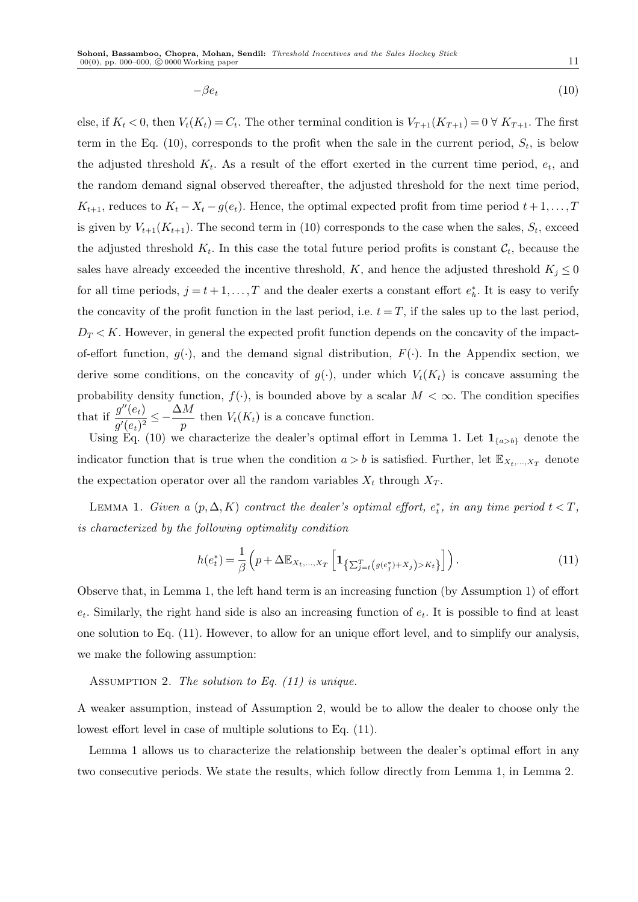$$
-\beta e_t \tag{10}
$$

else, if  $K_t < 0$ , then  $V_t(K_t) = C_t$ . The other terminal condition is  $V_{T+1}(K_{T+1}) = 0 \forall K_{T+1}$ . The first term in the Eq. (10), corresponds to the profit when the sale in the current period,  $S_t$ , is below the adjusted threshold  $K_t$ . As a result of the effort exerted in the current time period,  $e_t$ , and the random demand signal observed thereafter, the adjusted threshold for the next time period,  $K_{t+1}$ , reduces to  $K_t - X_t - g(e_t)$ . Hence, the optimal expected profit from time period  $t+1,\ldots,T$ is given by  $V_{t+1}(K_{t+1})$ . The second term in (10) corresponds to the case when the sales,  $S_t$ , exceed the adjusted threshold  $K_t$ . In this case the total future period profits is constant  $\mathcal{C}_t$ , because the sales have already exceeded the incentive threshold, K, and hence the adjusted threshold  $K_j \leq 0$ for all time periods,  $j = t + 1, \ldots, T$  and the dealer exerts a constant effort  $e_h^*$ . It is easy to verify the concavity of the profit function in the last period, i.e.  $t = T$ , if the sales up to the last period,  $D_T < K$ . However, in general the expected profit function depends on the concavity of the impactof-effort function,  $g(\cdot)$ , and the demand signal distribution,  $F(\cdot)$ . In the Appendix section, we derive some conditions, on the concavity of  $g(\cdot)$ , under which  $V_t(K_t)$  is concave assuming the probability density function,  $f(\cdot)$ , is bounded above by a scalar  $M < \infty$ . The condition specifies that if  $\frac{g''(e_t)}{f(x_t)}$  $\overline{g'(e_t)^2} \leq \Delta M$  $\frac{d}{p}$  then  $V_t(K_t)$  is a concave function.

Using Eq. (10) we characterize the dealer's optimal effort in Lemma 1. Let  $\mathbf{1}_{\{a>b\}}$  denote the indicator function that is true when the condition  $a > b$  is satisfied. Further, let  $\mathbb{E}_{X_t,\dots,X_T}$  denote the expectation operator over all the random variables  $X_t$  through  $X_T$ .

LEMMA 1. Given a  $(p, \Delta, K)$  contract the dealer's optimal effort,  $e_t^*$ , in any time period  $t < T$ , is characterized by the following optimality condition

$$
h(e_t^*) = \frac{1}{\beta} \left( p + \Delta \mathbb{E}_{X_t, ..., X_T} \left[ \mathbf{1}_{\left\{ \sum_{j=t}^T \left( g(e_j^*) + X_j \right) > K_t \right\}} \right] \right). \tag{11}
$$

Observe that, in Lemma 1, the left hand term is an increasing function (by Assumption 1) of effort  $e_t$ . Similarly, the right hand side is also an increasing function of  $e_t$ . It is possible to find at least one solution to Eq. (11). However, to allow for an unique effort level, and to simplify our analysis, we make the following assumption:

ASSUMPTION 2. The solution to Eq.  $(11)$  is unique.

A weaker assumption, instead of Assumption 2, would be to allow the dealer to choose only the lowest effort level in case of multiple solutions to Eq. (11).

Lemma 1 allows us to characterize the relationship between the dealer's optimal effort in any two consecutive periods. We state the results, which follow directly from Lemma 1, in Lemma 2.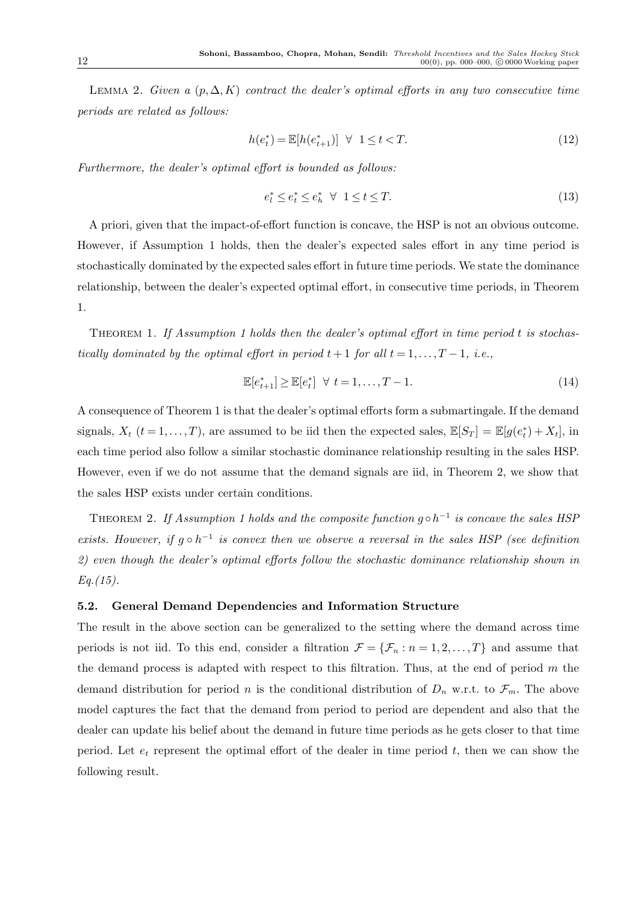LEMMA 2. Given a  $(p, \Delta, K)$  contract the dealer's optimal efforts in any two consecutive time periods are related as follows:

$$
h(e_t^*) = \mathbb{E}[h(e_{t+1}^*)] \ \ \forall \ \ 1 \le t < T. \tag{12}
$$

Furthermore, the dealer's optimal effort is bounded as follows:

$$
e_l^* \le e_t^* \le e_h^* \quad \forall \quad 1 \le t \le T. \tag{13}
$$

A priori, given that the impact-of-effort function is concave, the HSP is not an obvious outcome. However, if Assumption 1 holds, then the dealer's expected sales effort in any time period is stochastically dominated by the expected sales effort in future time periods. We state the dominance relationship, between the dealer's expected optimal effort, in consecutive time periods, in Theorem 1.

THEOREM 1. If Assumption 1 holds then the dealer's optimal effort in time period t is stochastically dominated by the optimal effort in period  $t + 1$  for all  $t = 1, \ldots, T - 1$ , i.e.,

$$
\mathbb{E}[e_{t+1}^*] \ge \mathbb{E}[e_t^*] \quad \forall \ t = 1, \dots, T-1. \tag{14}
$$

A consequence of Theorem 1 is that the dealer's optimal efforts form a submartingale. If the demand signals,  $X_t$   $(t = 1, ..., T)$ , are assumed to be iid then the expected sales,  $\mathbb{E}[S_T] = \mathbb{E}[g(e_t^*) + X_t]$ , in each time period also follow a similar stochastic dominance relationship resulting in the sales HSP. However, even if we do not assume that the demand signals are iid, in Theorem 2, we show that the sales HSP exists under certain conditions.

THEOREM 2. If Assumption 1 holds and the composite function  $g \circ h^{-1}$  is concave the sales HSP exists. However, if  $g \circ h^{-1}$  is convex then we observe a reversal in the sales HSP (see definition 2) even though the dealer's optimal efforts follow the stochastic dominance relationship shown in  $Eq. (15).$ 

#### 5.2. General Demand Dependencies and Information Structure

The result in the above section can be generalized to the setting where the demand across time periods is not iid. To this end, consider a filtration  $\mathcal{F} = {\mathcal{F}_n : n = 1, 2, ..., T}$  and assume that the demand process is adapted with respect to this filtration. Thus, at the end of period  $m$  the demand distribution for period n is the conditional distribution of  $D_n$  w.r.t. to  $\mathcal{F}_m$ . The above model captures the fact that the demand from period to period are dependent and also that the dealer can update his belief about the demand in future time periods as he gets closer to that time period. Let  $e_t$  represent the optimal effort of the dealer in time period t, then we can show the following result.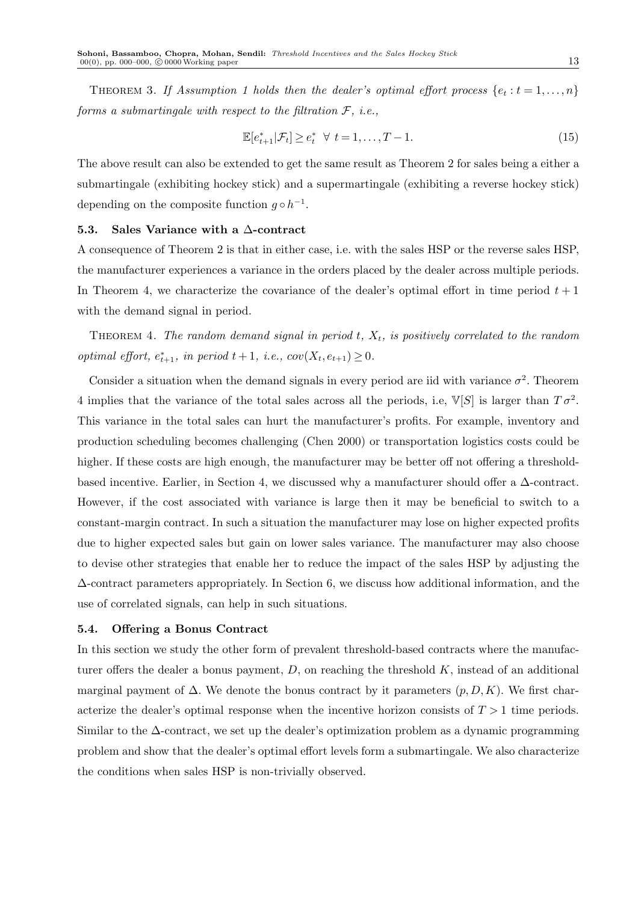THEOREM 3. If Assumption 1 holds then the dealer's optimal effort process  $\{e_t : t = 1, \ldots, n\}$ forms a submartingale with respect to the filtration  $\mathcal{F}$ , i.e.,

$$
\mathbb{E}[e_{t+1}^*|\mathcal{F}_t] \ge e_t^* \quad \forall \ t = 1, \dots, T-1. \tag{15}
$$

The above result can also be extended to get the same result as Theorem 2 for sales being a either a submartingale (exhibiting hockey stick) and a supermartingale (exhibiting a reverse hockey stick) depending on the composite function  $g \circ h^{-1}$ .

#### 5.3. Sales Variance with a ∆-contract

A consequence of Theorem 2 is that in either case, i.e. with the sales HSP or the reverse sales HSP, the manufacturer experiences a variance in the orders placed by the dealer across multiple periods. In Theorem 4, we characterize the covariance of the dealer's optimal effort in time period  $t + 1$ with the demand signal in period.

THEOREM 4. The random demand signal in period  $t$ ,  $X_t$ , is positively correlated to the random optimal effort,  $e_{t+1}^*$ , in period  $t+1$ , i.e.,  $cov(X_t, e_{t+1}) \geq 0$ .

Consider a situation when the demand signals in every period are iid with variance  $\sigma^2$ . Theorem 4 implies that the variance of the total sales across all the periods, i.e,  $\mathbb{V}[S]$  is larger than  $T\sigma^2$ . This variance in the total sales can hurt the manufacturer's profits. For example, inventory and production scheduling becomes challenging (Chen 2000) or transportation logistics costs could be higher. If these costs are high enough, the manufacturer may be better off not offering a thresholdbased incentive. Earlier, in Section 4, we discussed why a manufacturer should offer a ∆-contract. However, if the cost associated with variance is large then it may be beneficial to switch to a constant-margin contract. In such a situation the manufacturer may lose on higher expected profits due to higher expected sales but gain on lower sales variance. The manufacturer may also choose to devise other strategies that enable her to reduce the impact of the sales HSP by adjusting the ∆-contract parameters appropriately. In Section 6, we discuss how additional information, and the use of correlated signals, can help in such situations.

## 5.4. Offering a Bonus Contract

In this section we study the other form of prevalent threshold-based contracts where the manufacturer offers the dealer a bonus payment,  $D$ , on reaching the threshold  $K$ , instead of an additional marginal payment of  $\Delta$ . We denote the bonus contract by it parameters  $(p, D, K)$ . We first characterize the dealer's optimal response when the incentive horizon consists of  $T > 1$  time periods. Similar to the ∆-contract, we set up the dealer's optimization problem as a dynamic programming problem and show that the dealer's optimal effort levels form a submartingale. We also characterize the conditions when sales HSP is non-trivially observed.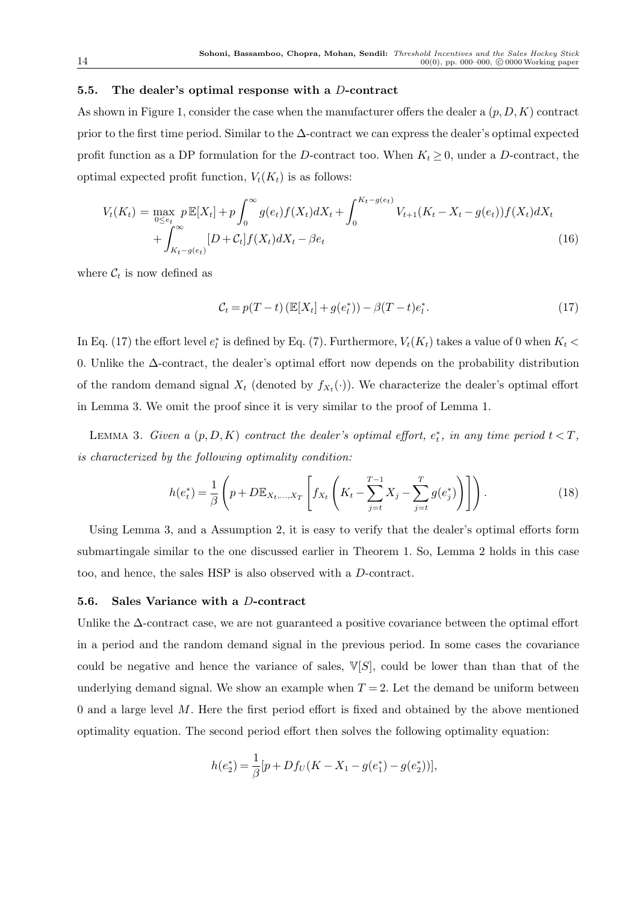#### 5.5. The dealer's optimal response with a D-contract

As shown in Figure 1, consider the case when the manufacturer offers the dealer a  $(p, D, K)$  contract prior to the first time period. Similar to the ∆-contract we can express the dealer's optimal expected profit function as a DP formulation for the D-contract too. When  $K_t \geq 0$ , under a D-contract, the optimal expected profit function,  $V_t(K_t)$  is as follows:

$$
V_t(K_t) = \max_{0 \le e_t} p \mathbb{E}[X_t] + p \int_0^\infty g(e_t) f(X_t) dX_t + \int_0^{K_t - g(e_t)} V_{t+1}(K_t - X_t - g(e_t)) f(X_t) dX_t + \int_{K_t - g(e_t)}^\infty [D + C_t] f(X_t) dX_t - \beta e_t
$$
\n(16)

where  $\mathcal{C}_t$  is now defined as

$$
\mathcal{C}_t = p(T - t) \left( \mathbb{E}[X_t] + g(e_t^*) \right) - \beta (T - t) e_t^*.
$$
 (17)

In Eq. (17) the effort level  $e_t^*$  is defined by Eq. (7). Furthermore,  $V_t(K_t)$  takes a value of 0 when  $K_t$  < 0. Unlike the ∆-contract, the dealer's optimal effort now depends on the probability distribution of the random demand signal  $X_t$  (denoted by  $f_{X_t}(\cdot)$ ). We characterize the dealer's optimal effort in Lemma 3. We omit the proof since it is very similar to the proof of Lemma 1.

LEMMA 3. Given a  $(p, D, K)$  contract the dealer's optimal effort,  $e_t^*$ , in any time period  $t < T$ , is characterized by the following optimality condition:

$$
h(e_t^*) = \frac{1}{\beta} \left( p + D \mathbb{E}_{X_t, ..., X_T} \left[ f_{X_t} \left( K_t - \sum_{j=t}^{T-1} X_j - \sum_{j=t}^T g(e_j^*) \right) \right] \right).
$$
 (18)

Using Lemma 3, and a Assumption 2, it is easy to verify that the dealer's optimal efforts form submartingale similar to the one discussed earlier in Theorem 1. So, Lemma 2 holds in this case too, and hence, the sales HSP is also observed with a D-contract.

#### 5.6. Sales Variance with a D-contract

Unlike the  $\Delta$ -contract case, we are not guaranteed a positive covariance between the optimal effort in a period and the random demand signal in the previous period. In some cases the covariance could be negative and hence the variance of sales,  $V[S]$ , could be lower than than that of the underlying demand signal. We show an example when  $T = 2$ . Let the demand be uniform between 0 and a large level  $M$ . Here the first period effort is fixed and obtained by the above mentioned optimality equation. The second period effort then solves the following optimality equation:

$$
h(e_2^*) = \frac{1}{\beta} [p + Df_U(K - X_1 - g(e_1^*) - g(e_2^*))],
$$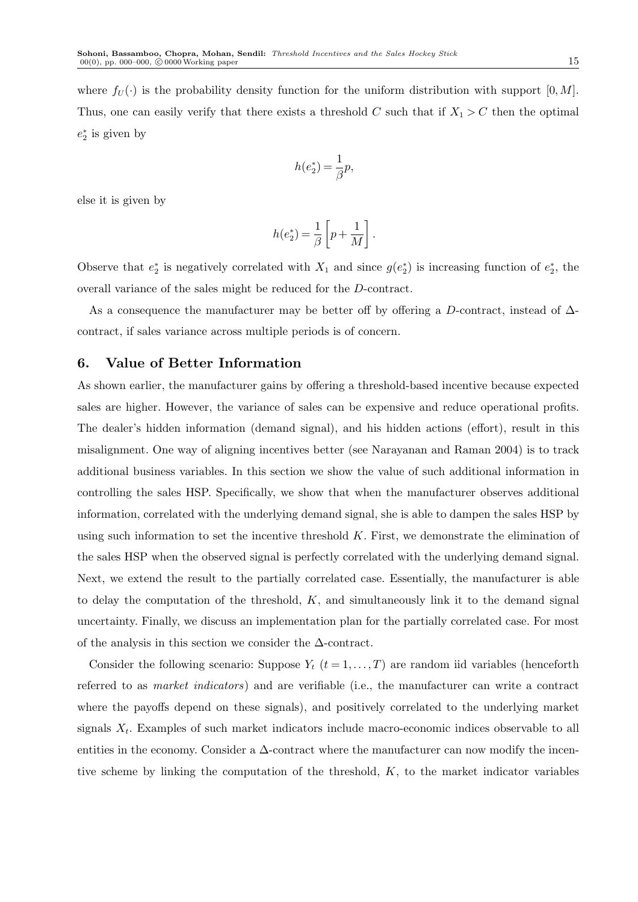where  $f_U(\cdot)$  is the probability density function for the uniform distribution with support  $[0, M]$ . Thus, one can easily verify that there exists a threshold C such that if  $X_1 > C$  then the optimal  $e_2^*$  is given by

$$
h(e_2^*) = \frac{1}{\beta}p,
$$

else it is given by

$$
h(e_2^*)=\frac{1}{\beta}\left[p+\frac{1}{M}\right].
$$

Observe that  $e_2^*$  is negatively correlated with  $X_1$  and since  $g(e_2^*)$  is increasing function of  $e_2^*$ , the overall variance of the sales might be reduced for the D-contract.

As a consequence the manufacturer may be better off by offering a D-contract, instead of  $\Delta$ contract, if sales variance across multiple periods is of concern.

## 6. Value of Better Information

As shown earlier, the manufacturer gains by offering a threshold-based incentive because expected sales are higher. However, the variance of sales can be expensive and reduce operational profits. The dealer's hidden information (demand signal), and his hidden actions (effort), result in this misalignment. One way of aligning incentives better (see Narayanan and Raman 2004) is to track additional business variables. In this section we show the value of such additional information in controlling the sales HSP. Specifically, we show that when the manufacturer observes additional information, correlated with the underlying demand signal, she is able to dampen the sales HSP by using such information to set the incentive threshold  $K$ . First, we demonstrate the elimination of the sales HSP when the observed signal is perfectly correlated with the underlying demand signal. Next, we extend the result to the partially correlated case. Essentially, the manufacturer is able to delay the computation of the threshold,  $K$ , and simultaneously link it to the demand signal uncertainty. Finally, we discuss an implementation plan for the partially correlated case. For most of the analysis in this section we consider the ∆-contract.

Consider the following scenario: Suppose  $Y_t$   $(t = 1, ..., T)$  are random iid variables (henceforth referred to as market indicators) and are verifiable (i.e., the manufacturer can write a contract where the payoffs depend on these signals), and positively correlated to the underlying market signals  $X_t$ . Examples of such market indicators include macro-economic indices observable to all entities in the economy. Consider a  $\Delta$ -contract where the manufacturer can now modify the incentive scheme by linking the computation of the threshold,  $K$ , to the market indicator variables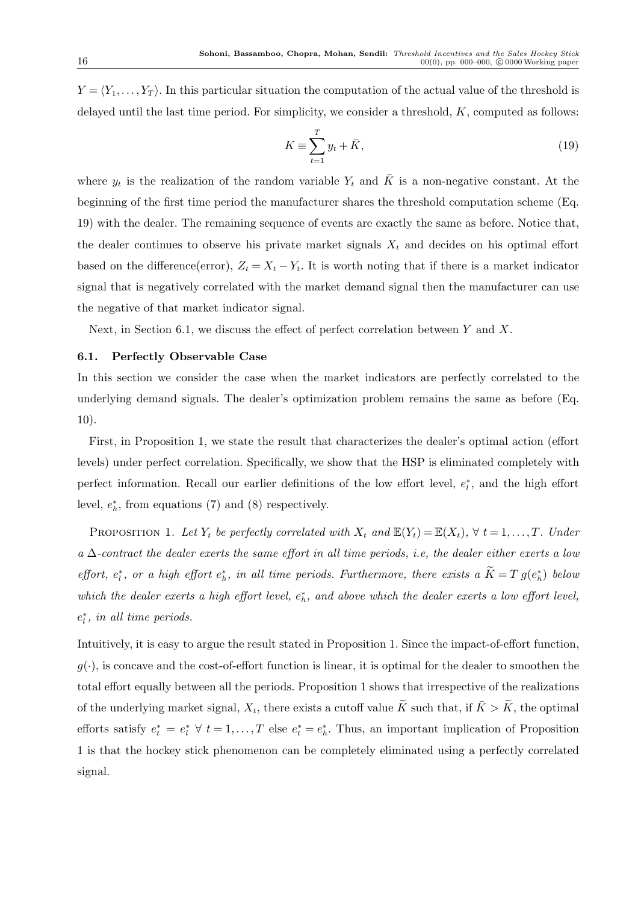$Y = \langle Y_1, \ldots, Y_T \rangle$ . In this particular situation the computation of the actual value of the threshold is delayed until the last time period. For simplicity, we consider a threshold,  $K$ , computed as follows:

$$
K \equiv \sum_{t=1}^{T} y_t + \bar{K},\tag{19}
$$

where  $y_t$  is the realization of the random variable  $Y_t$  and  $\overline{K}$  is a non-negative constant. At the beginning of the first time period the manufacturer shares the threshold computation scheme (Eq. 19) with the dealer. The remaining sequence of events are exactly the same as before. Notice that, the dealer continues to observe his private market signals  $X_t$  and decides on his optimal effort based on the difference(error),  $Z_t = X_t - Y_t$ . It is worth noting that if there is a market indicator signal that is negatively correlated with the market demand signal then the manufacturer can use the negative of that market indicator signal.

Next, in Section 6.1, we discuss the effect of perfect correlation between  $Y$  and  $X$ .

#### 6.1. Perfectly Observable Case

In this section we consider the case when the market indicators are perfectly correlated to the underlying demand signals. The dealer's optimization problem remains the same as before (Eq. 10).

First, in Proposition 1, we state the result that characterizes the dealer's optimal action (effort levels) under perfect correlation. Specifically, we show that the HSP is eliminated completely with perfect information. Recall our earlier definitions of the low effort level,  $e_t^*$ , and the high effort level,  $e_h^*$ , from equations (7) and (8) respectively.

PROPOSITION 1. Let  $Y_t$  be perfectly correlated with  $X_t$  and  $\mathbb{E}(Y_t) = \mathbb{E}(X_t)$ ,  $\forall t = 1, \ldots, T$ . Under  $a \Delta$ -contract the dealer exerts the same effort in all time periods, i.e, the dealer either exerts a low effort,  $e_i^*$ , or a high effort  $e_h^*$ , in all time periods. Furthermore, there exists a  $K = T g(e_h^*)$  below which the dealer exerts a high effort level,  $e_h^*$ , and above which the dealer exerts a low effort level,  $e_l^*$ , in all time periods.

Intuitively, it is easy to argue the result stated in Proposition 1. Since the impact-of-effort function,  $q(\cdot)$ , is concave and the cost-of-effort function is linear, it is optimal for the dealer to smoothen the total effort equally between all the periods. Proposition 1 shows that irrespective of the realizations of the underlying market signal,  $X_t$ , there exists a cutoff value  $\widetilde{K}$  such that, if  $\bar{K} > \widetilde{K}$ , the optimal efforts satisfy  $e_t^* = e_t^* \; \forall \; t = 1, \ldots, T$  else  $e_t^* = e_t^*$ . Thus, an important implication of Proposition 1 is that the hockey stick phenomenon can be completely eliminated using a perfectly correlated signal.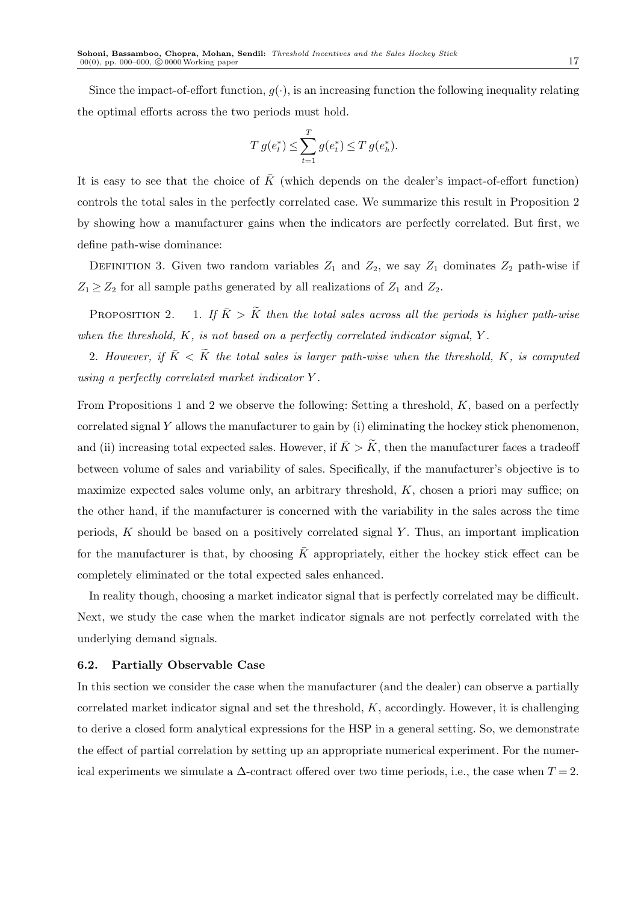Since the impact-of-effort function,  $q(\cdot)$ , is an increasing function the following inequality relating the optimal efforts across the two periods must hold.

$$
T g(e_l^*) \leq \sum_{t=1}^T g(e_t^*) \leq T g(e_h^*).
$$

It is easy to see that the choice of  $\bar{K}$  (which depends on the dealer's impact-of-effort function) controls the total sales in the perfectly correlated case. We summarize this result in Proposition 2 by showing how a manufacturer gains when the indicators are perfectly correlated. But first, we define path-wise dominance:

DEFINITION 3. Given two random variables  $Z_1$  and  $Z_2$ , we say  $Z_1$  dominates  $Z_2$  path-wise if  $Z_1 \geq Z_2$  for all sample paths generated by all realizations of  $Z_1$  and  $Z_2$ .

PROPOSITION 2. 1. If  $\overline{K} > \widetilde{K}$  then the total sales across all the periods is higher path-wise when the threshold,  $K$ , is not based on a perfectly correlated indicator signal,  $Y$ .

2. However, if  $\overline{K} < \widetilde{K}$  the total sales is larger path-wise when the threshold, K, is computed using a perfectly correlated market indicator Y .

From Propositions 1 and 2 we observe the following: Setting a threshold,  $K$ , based on a perfectly correlated signal  $Y$  allows the manufacturer to gain by (i) eliminating the hockey stick phenomenon, and (ii) increasing total expected sales. However, if  $\bar{K} > \tilde{K}$ , then the manufacturer faces a tradeoff between volume of sales and variability of sales. Specifically, if the manufacturer's objective is to maximize expected sales volume only, an arbitrary threshold,  $K$ , chosen a priori may suffice; on the other hand, if the manufacturer is concerned with the variability in the sales across the time periods,  $K$  should be based on a positively correlated signal  $Y$ . Thus, an important implication for the manufacturer is that, by choosing  $\bar{K}$  appropriately, either the hockey stick effect can be completely eliminated or the total expected sales enhanced.

In reality though, choosing a market indicator signal that is perfectly correlated may be difficult. Next, we study the case when the market indicator signals are not perfectly correlated with the underlying demand signals.

#### 6.2. Partially Observable Case

In this section we consider the case when the manufacturer (and the dealer) can observe a partially correlated market indicator signal and set the threshold,  $K$ , accordingly. However, it is challenging to derive a closed form analytical expressions for the HSP in a general setting. So, we demonstrate the effect of partial correlation by setting up an appropriate numerical experiment. For the numerical experiments we simulate a  $\Delta$ -contract offered over two time periods, i.e., the case when  $T = 2$ .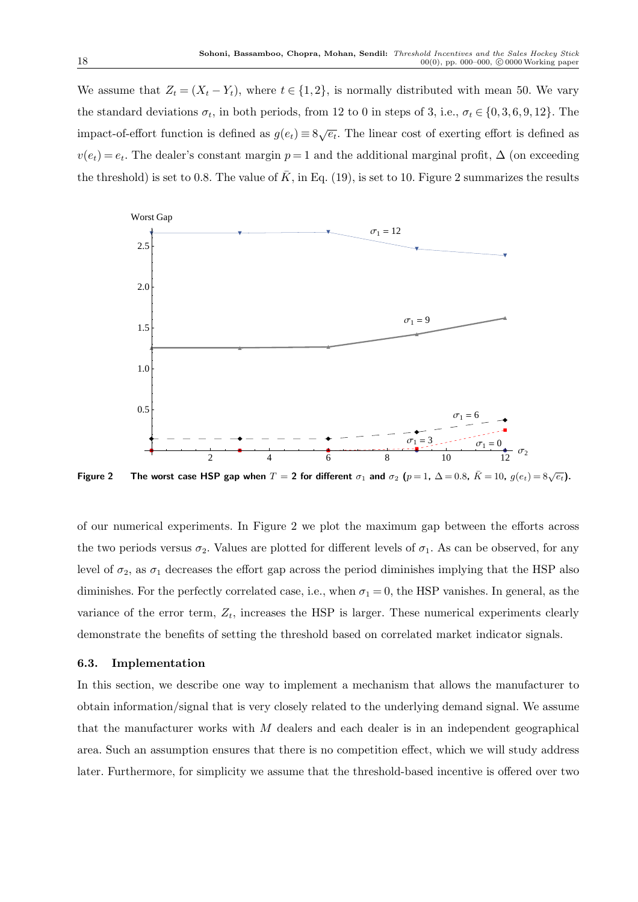We assume that  $Z_t = (X_t - Y_t)$ , where  $t \in \{1, 2\}$ , is normally distributed with mean 50. We vary the standard deviations  $\sigma_t$ , in both periods, from 12 to 0 in steps of 3, i.e.,  $\sigma_t \in \{0, 3, 6, 9, 12\}$ . The impact-of-effort function is defined as  $g(e_t) \equiv 8\sqrt{e_t}$ . The linear cost of exerting effort is defined as  $v(e_t) = e_t$ . The dealer's constant margin  $p = 1$  and the additional marginal profit,  $\Delta$  (on exceeding the threshold) is set to 0.8. The value of  $\bar{K}$ , in Eq. (19), is set to 10. Figure 2 summarizes the results



Figure 2 The worst case HSP gap when  $T=$  2 for different  $\sigma_1$  and  $\sigma_2$   $(p=1, \ \Delta=0.8, \ \bar{K}=10, \ g(e_t)=8\sqrt{e_t})$ .

of our numerical experiments. In Figure 2 we plot the maximum gap between the efforts across the two periods versus  $\sigma_2$ . Values are plotted for different levels of  $\sigma_1$ . As can be observed, for any level of  $\sigma_2$ , as  $\sigma_1$  decreases the effort gap across the period diminishes implying that the HSP also diminishes. For the perfectly correlated case, i.e., when  $\sigma_1 = 0$ , the HSP vanishes. In general, as the variance of the error term,  $Z_t$ , increases the HSP is larger. These numerical experiments clearly demonstrate the benefits of setting the threshold based on correlated market indicator signals.

## 6.3. Implementation

In this section, we describe one way to implement a mechanism that allows the manufacturer to obtain information/signal that is very closely related to the underlying demand signal. We assume that the manufacturer works with  $M$  dealers and each dealer is in an independent geographical area. Such an assumption ensures that there is no competition effect, which we will study address later. Furthermore, for simplicity we assume that the threshold-based incentive is offered over two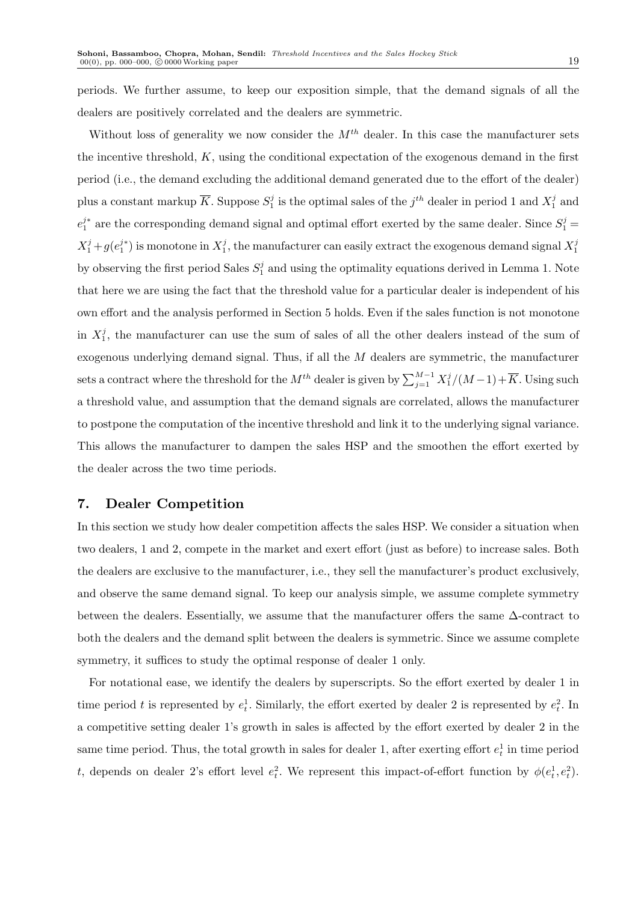periods. We further assume, to keep our exposition simple, that the demand signals of all the dealers are positively correlated and the dealers are symmetric.

Without loss of generality we now consider the  $M^{th}$  dealer. In this case the manufacturer sets the incentive threshold,  $K$ , using the conditional expectation of the exogenous demand in the first period (i.e., the demand excluding the additional demand generated due to the effort of the dealer) plus a constant markup  $\overline{K}$ . Suppose  $S_1^j$  is the optimal sales of the  $j^{th}$  dealer in period 1 and  $X_1^j$  and  $e_1^{j*}$  are the corresponding demand signal and optimal effort exerted by the same dealer. Since  $S_1^j$  =  $X_1^j + g(e_1^{j*})$  is monotone in  $X_1^j$ , the manufacturer can easily extract the exogenous demand signal  $X_1^j$ by observing the first period Sales  $S_1^j$  and using the optimality equations derived in Lemma 1. Note that here we are using the fact that the threshold value for a particular dealer is independent of his own effort and the analysis performed in Section 5 holds. Even if the sales function is not monotone in  $X_1^j$ , the manufacturer can use the sum of sales of all the other dealers instead of the sum of exogenous underlying demand signal. Thus, if all the M dealers are symmetric, the manufacturer sets a contract where the threshold for the  $M^{th}$  dealer is given by  $\sum_{j=1}^{M-1} X_1^j/(M-1) + \overline{K}$ . Using such a threshold value, and assumption that the demand signals are correlated, allows the manufacturer to postpone the computation of the incentive threshold and link it to the underlying signal variance. This allows the manufacturer to dampen the sales HSP and the smoothen the effort exerted by the dealer across the two time periods.

# 7. Dealer Competition

In this section we study how dealer competition affects the sales HSP. We consider a situation when two dealers, 1 and 2, compete in the market and exert effort (just as before) to increase sales. Both the dealers are exclusive to the manufacturer, i.e., they sell the manufacturer's product exclusively, and observe the same demand signal. To keep our analysis simple, we assume complete symmetry between the dealers. Essentially, we assume that the manufacturer offers the same ∆-contract to both the dealers and the demand split between the dealers is symmetric. Since we assume complete symmetry, it suffices to study the optimal response of dealer 1 only.

For notational ease, we identify the dealers by superscripts. So the effort exerted by dealer 1 in time period t is represented by  $e_t^1$ . Similarly, the effort exerted by dealer 2 is represented by  $e_t^2$ . In a competitive setting dealer 1's growth in sales is affected by the effort exerted by dealer 2 in the same time period. Thus, the total growth in sales for dealer 1, after exerting effort  $e_t^1$  in time period t, depends on dealer 2's effort level  $e_t^2$ . We represent this impact-of-effort function by  $\phi(e_t^1, e_t^2)$ .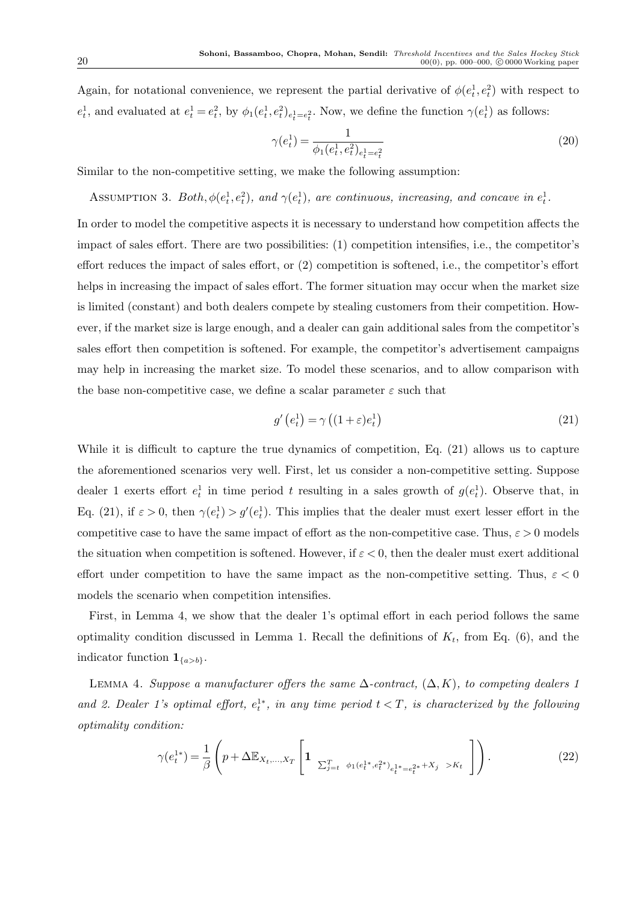Again, for notational convenience, we represent the partial derivative of  $\phi(e_t^1, e_t^2)$  with respect to  $e_t^1$ , and evaluated at  $e_t^1 = e_t^2$ , by  $\phi_1(e_t^1, e_t^2)_{e_t^1 = e_t^2}$ . Now, we define the function  $\gamma(e_t^1)$  as follows:

$$
\gamma(e_t^1) = \frac{1}{\phi_1(e_t^1, e_t^2)_{e_t^1 = e_t^2}}
$$
\n(20)

Similar to the non-competitive setting, we make the following assumption:

ASSUMPTION 3. Both,  $\phi(e_t^1, e_t^2)$ , and  $\gamma(e_t^1)$ , are continuous, increasing, and concave in  $e_t^1$ .

In order to model the competitive aspects it is necessary to understand how competition affects the impact of sales effort. There are two possibilities: (1) competition intensifies, i.e., the competitor's effort reduces the impact of sales effort, or (2) competition is softened, i.e., the competitor's effort helps in increasing the impact of sales effort. The former situation may occur when the market size is limited (constant) and both dealers compete by stealing customers from their competition. However, if the market size is large enough, and a dealer can gain additional sales from the competitor's sales effort then competition is softened. For example, the competitor's advertisement campaigns may help in increasing the market size. To model these scenarios, and to allow comparison with the base non-competitive case, we define a scalar parameter  $\varepsilon$  such that

$$
g'\left(e_t^1\right) = \gamma\left((1+\varepsilon)e_t^1\right) \tag{21}
$$

While it is difficult to capture the true dynamics of competition, Eq. (21) allows us to capture the aforementioned scenarios very well. First, let us consider a non-competitive setting. Suppose dealer 1 exerts effort  $e_t^1$  in time period t resulting in a sales growth of  $g(e_t^1)$ . Observe that, in Eq. (21), if  $\varepsilon > 0$ , then  $\gamma(e_t^1) > g'(e_t^1)$ . This implies that the dealer must exert lesser effort in the competitive case to have the same impact of effort as the non-competitive case. Thus,  $\varepsilon > 0$  models the situation when competition is softened. However, if  $\varepsilon < 0$ , then the dealer must exert additional effort under competition to have the same impact as the non-competitive setting. Thus,  $\varepsilon < 0$ models the scenario when competition intensifies.

First, in Lemma 4, we show that the dealer 1's optimal effort in each period follows the same optimality condition discussed in Lemma 1. Recall the definitions of  $K_t$ , from Eq. (6), and the indicator function  $\mathbf{1}_{\{a>b\}}$ .

LEMMA 4. Suppose a manufacturer offers the same  $\Delta$ -contract,  $(\Delta, K)$ , to competing dealers 1 and 2. Dealer 1's optimal effort,  $e_t^{1*}$ , in any time period  $t < T$ , is characterized by the following optimality condition:

$$
\gamma(e_t^{1*}) = \frac{1}{\beta} \left( p + \Delta \mathbb{E}_{X_t, ..., X_T} \left[ 1 \sum_{j=t}^T \phi_1(e_t^{1*}, e_t^{2*})_{e_t^{1*} = e_t^{2*}} + X_j > K_t \right] \right). \tag{22}
$$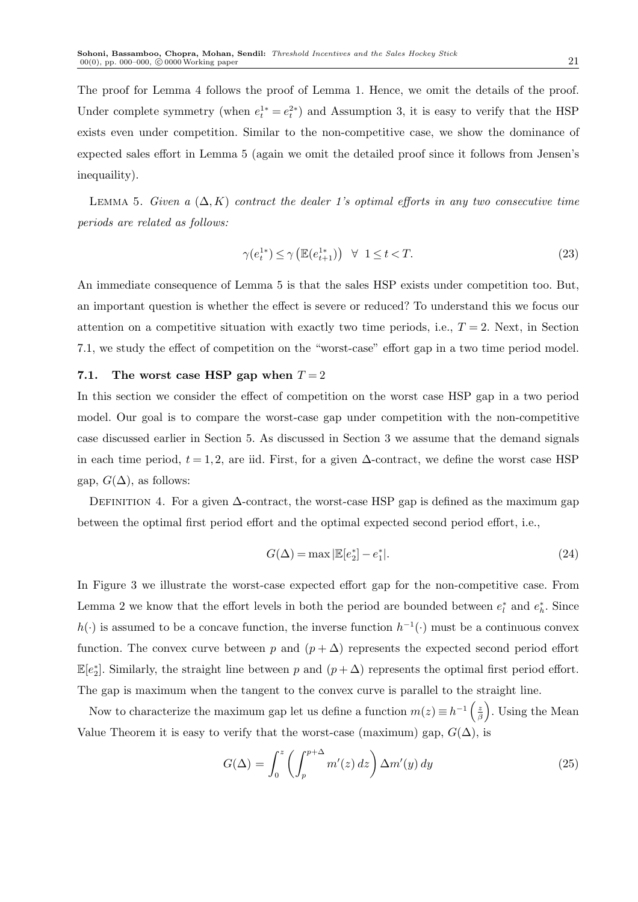The proof for Lemma 4 follows the proof of Lemma 1. Hence, we omit the details of the proof. Under complete symmetry (when  $e^{1*}_t = e^{2*}_t$ ) and Assumption 3, it is easy to verify that the HSP exists even under competition. Similar to the non-competitive case, we show the dominance of expected sales effort in Lemma 5 (again we omit the detailed proof since it follows from Jensen's inequaility).

LEMMA 5. Given a  $(\Delta, K)$  contract the dealer 1's optimal efforts in any two consecutive time periods are related as follows:

$$
\gamma(e_t^{1*}) \le \gamma\left(\mathbb{E}(e_{t+1}^{1*})\right) \quad \forall \quad 1 \le t < T. \tag{23}
$$

An immediate consequence of Lemma 5 is that the sales HSP exists under competition too. But, an important question is whether the effect is severe or reduced? To understand this we focus our attention on a competitive situation with exactly two time periods, i.e.,  $T = 2$ . Next, in Section 7.1, we study the effect of competition on the "worst-case" effort gap in a two time period model.

#### 7.1. The worst case HSP gap when  $T = 2$

In this section we consider the effect of competition on the worst case HSP gap in a two period model. Our goal is to compare the worst-case gap under competition with the non-competitive case discussed earlier in Section 5. As discussed in Section 3 we assume that the demand signals in each time period,  $t = 1, 2$ , are iid. First, for a given  $\Delta$ -contract, we define the worst case HSP gap,  $G(\Delta)$ , as follows:

DEFINITION 4. For a given  $\Delta$ -contract, the worst-case HSP gap is defined as the maximum gap between the optimal first period effort and the optimal expected second period effort, i.e.,

$$
G(\Delta) = \max |\mathbb{E}[e_2^*] - e_1^*|.
$$
 (24)

In Figure 3 we illustrate the worst-case expected effort gap for the non-competitive case. From Lemma 2 we know that the effort levels in both the period are bounded between  $e_l^*$  and  $e_h^*$ . Since  $h(\cdot)$  is assumed to be a concave function, the inverse function  $h^{-1}(\cdot)$  must be a continuous convex function. The convex curve between p and  $(p + \Delta)$  represents the expected second period effort  $\mathbb{E}[e_2^*]$ . Similarly, the straight line between p and  $(p + \Delta)$  represents the optimal first period effort. The gap is maximum when the tangent to the convex curve is parallel to the straight line.

Now to characterize the maximum gap let us define a function  $m(z) \equiv h^{-1} \left( \frac{z}{\beta} \right)$ β . Using the Mean Value Theorem it is easy to verify that the worst-case (maximum) gap,  $G(\Delta)$ , is

$$
G(\Delta) = \int_0^z \left( \int_p^{p+\Delta} m'(z) \, dz \right) \Delta m'(y) \, dy \tag{25}
$$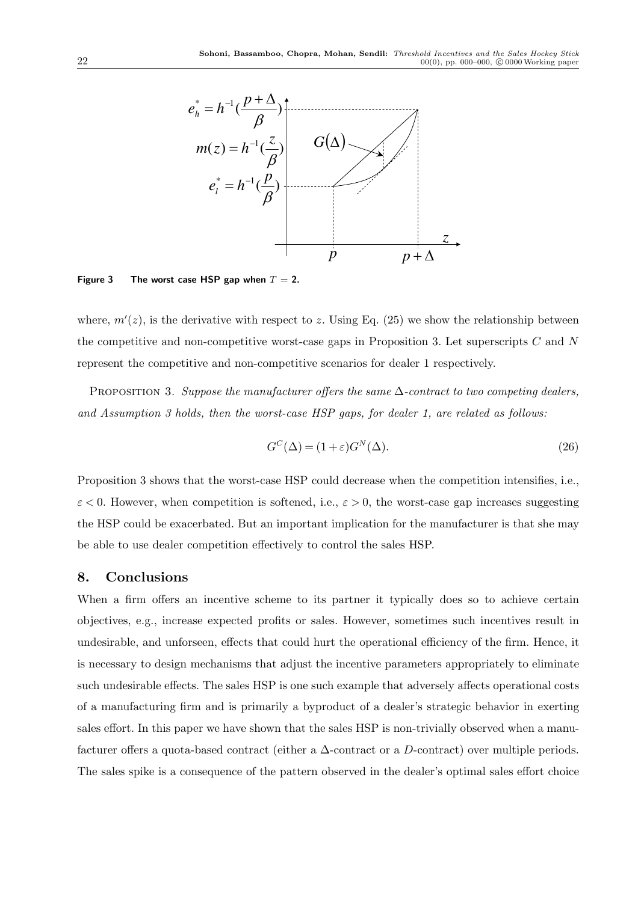

Figure 3 The worst case HSP gap when  $T = 2$ .

where,  $m'(z)$ , is the derivative with respect to z. Using Eq. (25) we show the relationship between the competitive and non-competitive worst-case gaps in Proposition 3. Let superscripts  $C$  and  $N$ represent the competitive and non-competitive scenarios for dealer 1 respectively.

PROPOSITION 3. Suppose the manufacturer offers the same  $\Delta$ -contract to two competing dealers, and Assumption 3 holds, then the worst-case HSP gaps, for dealer 1, are related as follows:

$$
G^{C}(\Delta) = (1+\varepsilon)G^{N}(\Delta). \tag{26}
$$

Proposition 3 shows that the worst-case HSP could decrease when the competition intensifies, i.e.,  $\varepsilon$  < 0. However, when competition is softened, i.e.,  $\varepsilon > 0$ , the worst-case gap increases suggesting the HSP could be exacerbated. But an important implication for the manufacturer is that she may be able to use dealer competition effectively to control the sales HSP.

## 8. Conclusions

When a firm offers an incentive scheme to its partner it typically does so to achieve certain objectives, e.g., increase expected profits or sales. However, sometimes such incentives result in undesirable, and unforseen, effects that could hurt the operational efficiency of the firm. Hence, it is necessary to design mechanisms that adjust the incentive parameters appropriately to eliminate such undesirable effects. The sales HSP is one such example that adversely affects operational costs of a manufacturing firm and is primarily a byproduct of a dealer's strategic behavior in exerting sales effort. In this paper we have shown that the sales HSP is non-trivially observed when a manufacturer offers a quota-based contract (either a ∆-contract or a D-contract) over multiple periods. The sales spike is a consequence of the pattern observed in the dealer's optimal sales effort choice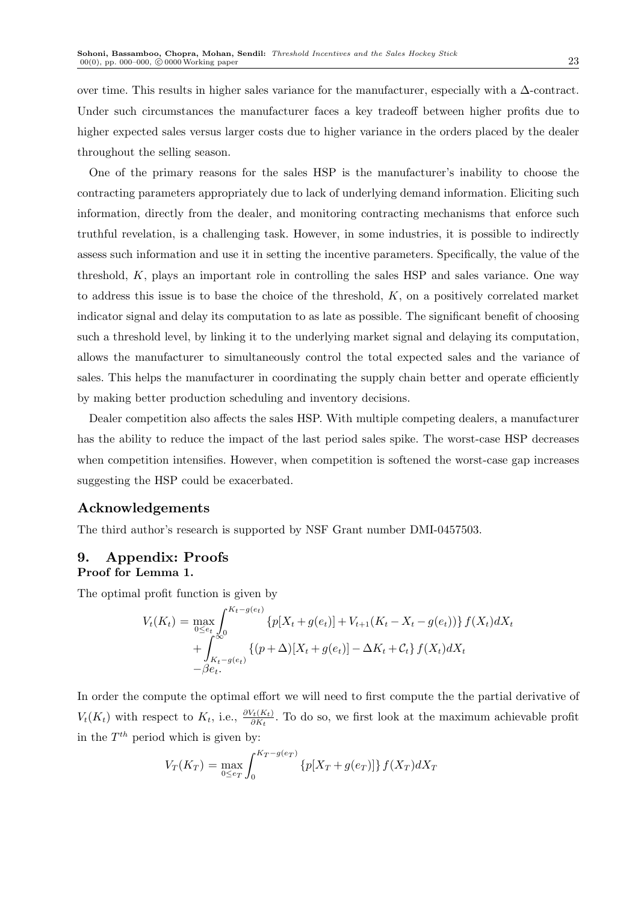over time. This results in higher sales variance for the manufacturer, especially with a ∆-contract. Under such circumstances the manufacturer faces a key tradeoff between higher profits due to higher expected sales versus larger costs due to higher variance in the orders placed by the dealer throughout the selling season.

One of the primary reasons for the sales HSP is the manufacturer's inability to choose the contracting parameters appropriately due to lack of underlying demand information. Eliciting such information, directly from the dealer, and monitoring contracting mechanisms that enforce such truthful revelation, is a challenging task. However, in some industries, it is possible to indirectly assess such information and use it in setting the incentive parameters. Specifically, the value of the threshold, K, plays an important role in controlling the sales HSP and sales variance. One way to address this issue is to base the choice of the threshold,  $K$ , on a positively correlated market indicator signal and delay its computation to as late as possible. The significant benefit of choosing such a threshold level, by linking it to the underlying market signal and delaying its computation, allows the manufacturer to simultaneously control the total expected sales and the variance of sales. This helps the manufacturer in coordinating the supply chain better and operate efficiently by making better production scheduling and inventory decisions.

Dealer competition also affects the sales HSP. With multiple competing dealers, a manufacturer has the ability to reduce the impact of the last period sales spike. The worst-case HSP decreases when competition intensifies. However, when competition is softened the worst-case gap increases suggesting the HSP could be exacerbated.

# Acknowledgements

The third author's research is supported by NSF Grant number DMI-0457503.

# 9. Appendix: Proofs Proof for Lemma 1.

The optimal profit function is given by

$$
V_t(K_t) = \max_{0 \le e_t} \int_0^{K_t - g(e_t)} \{p[X_t + g(e_t)] + V_{t+1}(K_t - X_t - g(e_t))\} f(X_t) dX_t
$$
  
+ 
$$
\int_{K_t - g(e_t)}^{\infty} \{(p + \Delta)[X_t + g(e_t)] - \Delta K_t + C_t\} f(X_t) dX_t
$$
  
-  $\beta e_t$ .

In order the compute the optimal effort we will need to first compute the the partial derivative of  $V_t(K_t)$  with respect to  $K_t$ , i.e.,  $\frac{\partial V_t(K_t)}{\partial K_t}$ . To do so, we first look at the maximum achievable profit in the  $T^{th}$  period which is given by:

$$
V_T(K_T) = \max_{0 \le e_T} \int_0^{K_T - g(e_T)} \{p[X_T + g(e_T)]\} f(X_T) dX_T
$$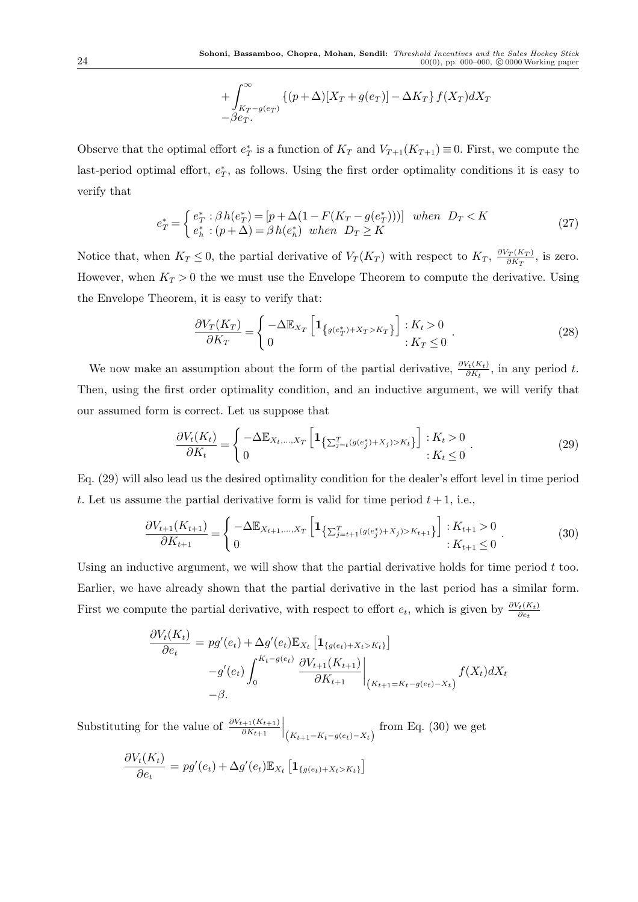$$
+\int_{K_T-g(e_T)}^{\infty} \left\{ (p+\Delta)[X_T+g(e_T)]-\Delta K_T \right\} f(X_T) dX_T
$$
  
 
$$
-\beta e_T.
$$

Observe that the optimal effort  $e^*_T$  is a function of  $K_T$  and  $V_{T+1}(K_{T+1}) \equiv 0$ . First, we compute the last-period optimal effort,  $e_T^*$ , as follows. Using the first order optimality conditions it is easy to verify that

$$
e_T^* = \begin{cases} e_T^* : \beta h(e_T^*) = [p + \Delta(1 - F(K_T - g(e_T^*)))] & when \ D_T < K \\ e_h^* : (p + \Delta) = \beta h(e_h^*) & when \ D_T \ge K \end{cases}
$$
(27)

Notice that, when  $K_T \leq 0$ , the partial derivative of  $V_T(K_T)$  with respect to  $K_T$ ,  $\frac{\partial V_T(K_T)}{\partial K_T}$  $\frac{\partial T(K_T)}{\partial K_T}$ , is zero. However, when  $K_T > 0$  the we must use the Envelope Theorem to compute the derivative. Using the Envelope Theorem, it is easy to verify that:

$$
\frac{\partial V_T(K_T)}{\partial K_T} = \begin{cases}\n-\Delta \mathbb{E}_{X_T} \left[ \mathbf{1}_{\{g(e_T^*) + X_T > K_T\}} \right] : K_t > 0 \\
0 & : K_T \le 0\n\end{cases}.
$$
\n(28)

We now make an assumption about the form of the partial derivative,  $\frac{\partial V_t(K_t)}{\partial K_t}$ , in any period t. Then, using the first order optimality condition, and an inductive argument, we will verify that our assumed form is correct. Let us suppose that

$$
\frac{\partial V_t(K_t)}{\partial K_t} = \begin{cases}\n-\Delta \mathbb{E}_{X_t,\dots,X_T} \left[ \mathbf{1}_{\left\{ \sum_{j=t}^T (g(e_j^*) + X_j) > K_t \right\}} \right] & : K_t > 0 \\
0 & : K_t \le 0\n\end{cases}.\n\tag{29}
$$

Eq. (29) will also lead us the desired optimality condition for the dealer's effort level in time period t. Let us assume the partial derivative form is valid for time period  $t + 1$ , i.e.,

$$
\frac{\partial V_{t+1}(K_{t+1})}{\partial K_{t+1}} = \begin{cases} -\Delta \mathbb{E}_{X_{t+1},...,X_T} \left[ \mathbf{1}_{\left\{ \sum_{j=t+1}^T (g(e_j^*) + X_j) > K_{t+1} \right\}} \right] : K_{t+1} > 0 \\ 0 & : K_{t+1} \le 0 \end{cases} \tag{30}
$$

Using an inductive argument, we will show that the partial derivative holds for time period  $t$  too. Earlier, we have already shown that the partial derivative in the last period has a similar form. First we compute the partial derivative, with respect to effort  $e_t$ , which is given by  $\frac{\partial V_t(K_t)}{\partial e_t}$ 

$$
\frac{\partial V_t(K_t)}{\partial e_t} = pg'(e_t) + \Delta g'(e_t) \mathbb{E}_{X_t} \left[ \mathbf{1}_{\{g(e_t) + X_t > K_t\}} \right] \n-g'(e_t) \int_0^{K_t - g(e_t)} \frac{\partial V_{t+1}(K_{t+1})}{\partial K_{t+1}} \Big|_{(K_{t+1} = K_t - g(e_t) - X_t)} f(X_t) dX_t \n-\beta.
$$

Substituting for the value of  $\frac{\partial V_{t+1}(K_{t+1})}{\partial K_{t+1}}$  $\bigg|_{\big(K_{t+1}=K_t-g(e_t)-X_t\big)}$ from Eq. (30) we get

$$
\frac{\partial V_t(K_t)}{\partial e_t} = pg'(e_t) + \Delta g'(e_t) \mathbb{E}_{X_t} \left[ \mathbf{1}_{\{g(e_t) + X_t > K_t\}} \right]
$$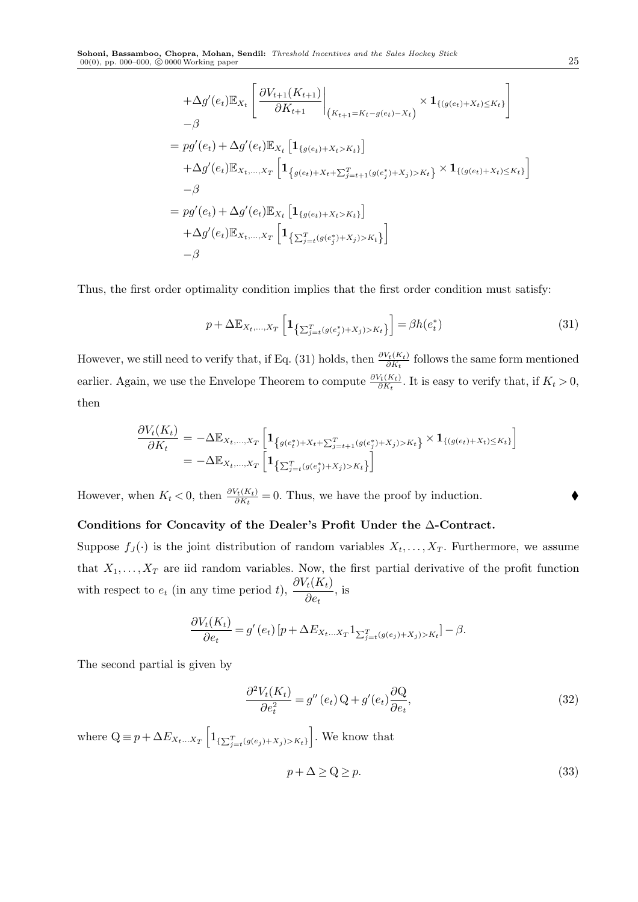$$
+\Delta g'(e_t) \mathbb{E}_{X_t} \left[ \frac{\partial V_{t+1}(K_{t+1})}{\partial K_{t+1}} \Big|_{(K_{t+1} = K_t - g(e_t) - X_t)} \times \mathbf{1}_{\{(g(e_t) + X_t) \le K_t\}} \right]
$$
  
\n
$$
= pg'(e_t) + \Delta g'(e_t) \mathbb{E}_{X_t} \left[ \mathbf{1}_{\{g(e_t) + X_t > K_t\}} \right]
$$
  
\n
$$
+\Delta g'(e_t) \mathbb{E}_{X_t, ..., X_T} \left[ \mathbf{1}_{\{g(e_t) + X_t + \sum_{j=t+1}^T (g(e_j^*) + X_j) > K_t\}} \times \mathbf{1}_{\{(g(e_t) + X_t) \le K_t\}} \right]
$$
  
\n
$$
- \beta
$$
  
\n
$$
= pg'(e_t) + \Delta g'(e_t) \mathbb{E}_{X_t} \left[ \mathbf{1}_{\{g(e_t) + X_t > K_t\}} \right]
$$
  
\n
$$
+ \Delta g'(e_t) \mathbb{E}_{X_t, ..., X_T} \left[ \mathbf{1}_{\{\sum_{j=t}^T (g(e_j^*) + X_j) > K_t\}} \right]
$$
  
\n
$$
- \beta
$$

Thus, the first order optimality condition implies that the first order condition must satisfy:

$$
p + \Delta \mathbb{E}_{X_t, \dots, X_T} \left[ \mathbf{1}_{\left\{ \sum_{j=t}^T (g(e_j^*) + X_j) > K_t \right\}} \right] = \beta h(e_t^*) \tag{31}
$$

However, we still need to verify that, if Eq. (31) holds, then  $\frac{\partial V_t(K_t)}{\partial K_t}$  follows the same form mentioned earlier. Again, we use the Envelope Theorem to compute  $\frac{\partial V_t(K_t)}{\partial K_t}$ . It is easy to verify that, if  $K_t > 0$ , then

$$
\frac{\partial V_t(K_t)}{\partial K_t} = -\Delta \mathbb{E}_{X_t, ..., X_T} \left[ \mathbf{1}_{\{g(e_t^*) + X_t + \sum_{j=t+1}^T (g(e_j^*) + X_j) > K_t\}} \times \mathbf{1}_{\{(g(e_t) + X_t) \le K_t\}} \right]
$$
\n
$$
= -\Delta \mathbb{E}_{X_t, ..., X_T} \left[ \mathbf{1}_{\{\sum_{j=t}^T (g(e_j^*) + X_j) > K_t\}} \right]
$$

However, when  $K_t < 0$ , then  $\frac{\partial V_t(K_t)}{\partial K_t} = 0$ . Thus, we have the proof by induction.

# Conditions for Concavity of the Dealer's Profit Under the ∆-Contract.

Suppose  $f_J(\cdot)$  is the joint distribution of random variables  $X_t, \ldots, X_T$ . Furthermore, we assume that  $X_1, \ldots, X_T$  are iid random variables. Now, the first partial derivative of the profit function with respect to  $e_t$  (in any time period t),  $\frac{\partial V_t(K_t)}{\partial e_t}$ , is

$$
\frac{\partial V_t(K_t)}{\partial e_t} = g'(e_t) \left[ p + \Delta E_{X_t...X_T} \mathbb{1}_{\sum_{j=t}^T (g(e_j) + X_j) > K_t} \right] - \beta.
$$

The second partial is given by

$$
\frac{\partial^2 V_t(K_t)}{\partial e_t^2} = g''(e_t) \mathbf{Q} + g'(e_t) \frac{\partial \mathbf{Q}}{\partial e_t},\tag{32}
$$

where  $Q \equiv p + \Delta E_{X_t...X_T} \left[ 1_{\{\sum_{j=t}^{T} (g(e_j) + X_j) > K_t\}} \right]$ . We know that

$$
p + \Delta \ge Q \ge p. \tag{33}
$$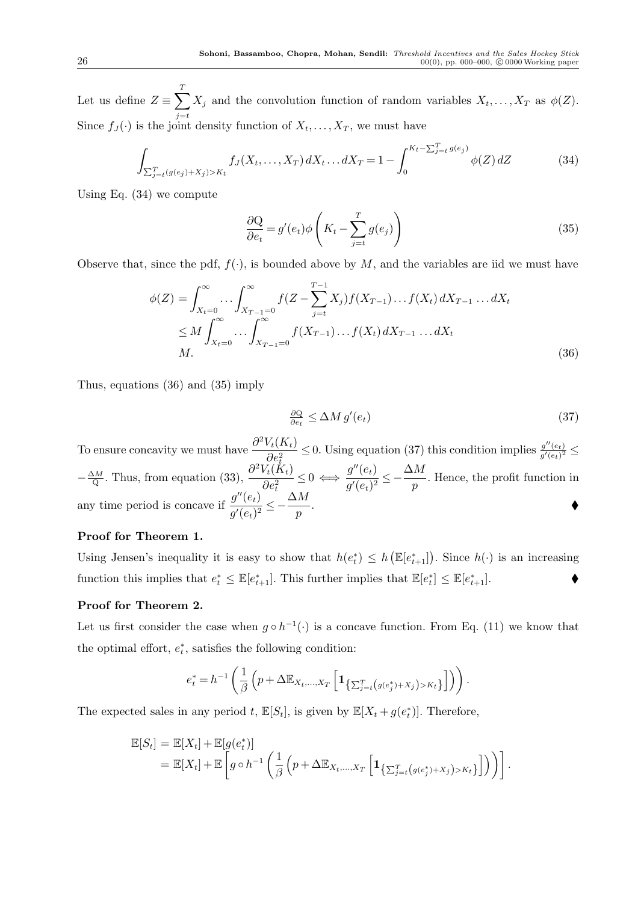Let us define  $Z \equiv \sum^T$  $j=t$  $X_j$  and the convolution function of random variables  $X_t, \ldots, X_T$  as  $\phi(Z)$ . Since  $f_J(\cdot)$  is the joint density function of  $X_t, \ldots, X_T$ , we must have

$$
\int_{\sum_{j=t}^{T} (g(e_j) + X_j) > K_t} f_J(X_t, \dots, X_T) dX_t \dots dX_T = 1 - \int_0^{K_t - \sum_{j=t}^{T} g(e_j)} \phi(Z) dZ \tag{34}
$$

Using Eq. (34) we compute

$$
\frac{\partial \mathbf{Q}}{\partial e_t} = g'(e_t) \phi \left( K_t - \sum_{j=t}^T g(e_j) \right) \tag{35}
$$

Observe that, since the pdf,  $f(\cdot)$ , is bounded above by M, and the variables are iid we must have

$$
\phi(Z) = \int_{X_t=0}^{\infty} \dots \int_{X_{T-1}=0}^{\infty} f(Z - \sum_{j=t}^{T-1} X_j) f(X_{T-1}) \dots f(X_t) dX_{T-1} \dots dX_t
$$
  
\n
$$
\leq M \int_{X_t=0}^{\infty} \dots \int_{X_{T-1}=0}^{\infty} f(X_{T-1}) \dots f(X_t) dX_{T-1} \dots dX_t
$$
  
\n
$$
M.
$$
\n(36)

Thus, equations (36) and (35) imply

$$
\frac{\partial Q}{\partial e_t} \le \Delta M \, g'(e_t) \tag{37}
$$

To ensure concavity we must have  $\frac{\partial^2 V_t(K_t)}{\partial e^2} \leq 0$ . Using equation (37) this condition implies  $\frac{g''(e_t)}{g'(e_t)^2} \leq$  $\partial e_t^2$  $-\frac{\Delta M}{Q}$  $\frac{\Delta M}{Q}$ . Thus, from equation (33),  $\frac{\partial^2 V_t(\tilde{K}_t)}{\partial e^2}$  $\frac{V_t(K_t)}{\partial e_t^2} \leq 0 \iff \frac{g''(e_t)}{g'(e_t)^2}$  $\overline{g'(e_t)^2} \leq \Delta M$  $\frac{m}{p}$ . Hence, the profit function in any time period is concave if  $\frac{g''(e_t)}{f'(e_t)}$  $\overline{g'(e_t)^2} \leq \Delta M$  $\frac{m}{p}$ .

## Proof for Theorem 1.

Using Jensen's inequality it is easy to show that  $h(e_t^*) \leq h(\mathbb{E}[e_{t+1}^*])$ . Since  $h(\cdot)$  is an increasing function this implies that  $e_t^* \leq \mathbb{E}[e_{t+1}^*]$ . This further implies that  $\mathbb{E}[e_t^*] \leq \mathbb{E}[e_{t+1}^*]$ .

## Proof for Theorem 2.

Let us first consider the case when  $g \circ h^{-1}(\cdot)$  is a concave function. From Eq. (11) we know that the optimal effort,  $e_t^*$ , satisfies the following condition:

$$
e_t^* = h^{-1}\left(\frac{1}{\beta}\left(p + \Delta \mathbb{E}_{X_t,\ldots,X_T}\left[\mathbf{1}_{\left\{\sum_{j=t}^T\left(g(e_j^*)+X_j\right)>K_t\right\}}\right]\right)\right).
$$

The expected sales in any period t,  $\mathbb{E}[S_t]$ , is given by  $\mathbb{E}[X_t + g(e_t^*)]$ . Therefore,

$$
\mathbb{E}[S_t] = \mathbb{E}[X_t] + \mathbb{E}[g(e_t^*)]
$$
  
= 
$$
\mathbb{E}[X_t] + \mathbb{E}\left[g \circ h^{-1}\left(\frac{1}{\beta}\left(p + \Delta \mathbb{E}_{X_t,\ldots,X_T}\left[\mathbf{1}_{\{\sum_{j=t}^T\left(g(e_j^*)+X_j\right)>K_t\}}\right]\right)\right)\right].
$$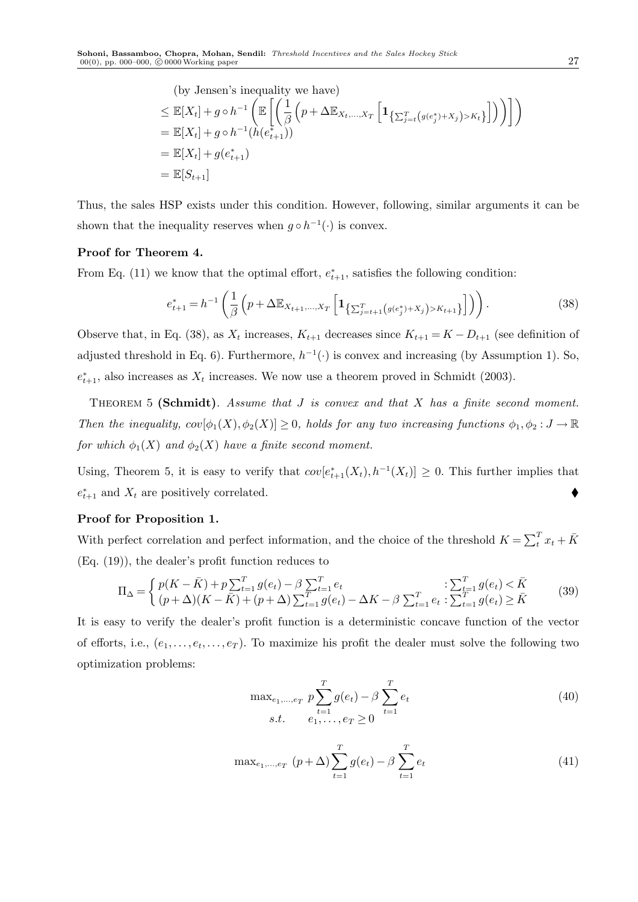(by Jensen's inequality we have)  
\n
$$
\leq \mathbb{E}[X_t] + g \circ h^{-1} \left( \mathbb{E} \left[ \left( \frac{1}{\beta} \left( p + \Delta \mathbb{E}_{X_t, ..., X_T} \left[ \mathbf{1}_{\{\sum_{j=t}^T (g(e_j^*) + X_j) > K_t\}} \right] \right) \right) \right] \right)
$$
\n
$$
= \mathbb{E}[X_t] + g \circ h^{-1}(h(e_{t+1}^*))
$$
\n
$$
= \mathbb{E}[X_t] + g(e_{t+1}^*)
$$
\n
$$
= \mathbb{E}[S_{t+1}]
$$

Thus, the sales HSP exists under this condition. However, following, similar arguments it can be shown that the inequality reserves when  $g \circ h^{-1}(\cdot)$  is convex.

#### Proof for Theorem 4.

From Eq. (11) we know that the optimal effort,  $e_{t+1}^*$ , satisfies the following condition:

$$
e_{t+1}^* = h^{-1} \left( \frac{1}{\beta} \left( p + \Delta \mathbb{E}_{X_{t+1},...,X_T} \left[ \mathbf{1}_{ \left\{ \sum_{j=t+1}^T \left( g(e_j^*) + X_j \right) > K_{t+1} \right\}} \right] \right) \right). \tag{38}
$$

Observe that, in Eq. (38), as  $X_t$  increases,  $K_{t+1}$  decreases since  $K_{t+1} = K - D_{t+1}$  (see definition of adjusted threshold in Eq. 6). Furthermore,  $h^{-1}(\cdot)$  is convex and increasing (by Assumption 1). So,  $e_{t+1}^*$ , also increases as  $X_t$  increases. We now use a theorem proved in Schmidt (2003).

THEOREM 5 (Schmidt). Assume that  $J$  is convex and that  $X$  has a finite second moment. Then the inequality,  $cov[\phi_1(X), \phi_2(X)] \geq 0$ , holds for any two increasing functions  $\phi_1, \phi_2 : J \to \mathbb{R}$ for which  $\phi_1(X)$  and  $\phi_2(X)$  have a finite second moment.

Using, Theorem 5, it is easy to verify that  $cov[e_{t+1}^*(X_t), h^{-1}(X_t)] \geq 0$ . This further implies that  $e_{t+1}^*$  and  $X_t$  are positively correlated.

## Proof for Proposition 1.

With perfect correlation and perfect information, and the choice of the threshold  $K = \sum_{t=1}^{T} x_t + \bar{K}$ (Eq. (19)), the dealer's profit function reduces to

$$
\Pi_{\Delta} = \begin{cases} p(K - \bar{K}) + p \sum_{t=1}^{T} g(e_t) - \beta \sum_{t=1}^{T} e_t & : \sum_{t=1}^{T} g(e_t) < \bar{K} \\ (p + \Delta)(K - \bar{K}) + (p + \Delta) \sum_{t=1}^{T} g(e_t) - \Delta K - \beta \sum_{t=1}^{T} e_t & : \sum_{t=1}^{T} g(e_t) \ge \bar{K} \end{cases}
$$
(39)

It is easy to verify the dealer's profit function is a deterministic concave function of the vector of efforts, i.e.,  $(e_1, \ldots, e_t, \ldots, e_T)$ . To maximize his profit the dealer must solve the following two optimization problems:

$$
\max_{e_1, \dots, e_T} p \sum_{t=1}^T g(e_t) - \beta \sum_{t=1}^T e_t
$$
  
s.t.  $e_1, \dots, e_T \ge 0$  <sup>(40)</sup>

$$
\max_{e_1, \dots, e_T} (p + \Delta) \sum_{t=1}^T g(e_t) - \beta \sum_{t=1}^T e_t
$$
 (41)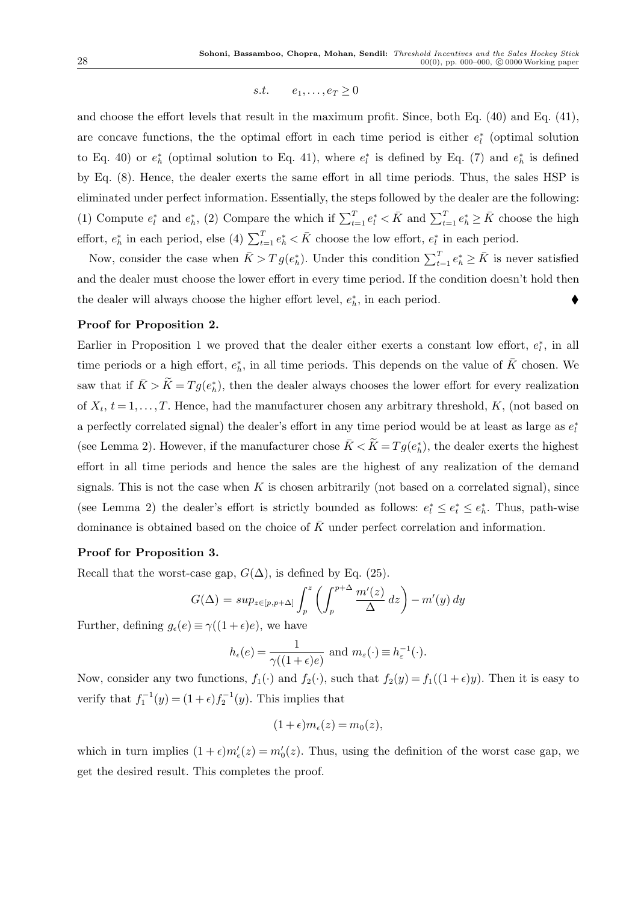s.t.  $e_1, \ldots, e_T > 0$ 

and choose the effort levels that result in the maximum profit. Since, both Eq. (40) and Eq. (41), are concave functions, the the optimal effort in each time period is either  $e_l^*$  (optimal solution to Eq. 40) or  $e_h^*$  (optimal solution to Eq. 41), where  $e_l^*$  is defined by Eq. (7) and  $e_h^*$  is defined by Eq. (8). Hence, the dealer exerts the same effort in all time periods. Thus, the sales HSP is eliminated under perfect information. Essentially, the steps followed by the dealer are the following: (1) Compute  $e_l^*$  and  $e_h^*$ , (2) Compare the which if  $\sum_{t=1}^T e_l^* < \bar{K}$  and  $\sum_{t=1}^T e_h^* \ge \bar{K}$  choose the high effort,  $e_h^*$  in each period, else (4)  $\sum_{t=1}^T e_h^* < \bar{K}$  choose the low effort,  $e_l^*$  in each period.

Now, consider the case when  $\bar{K} > T g(e_h^*)$ . Under this condition  $\sum_{t=1}^T e_h^* \geq \bar{K}$  is never satisfied and the dealer must choose the lower effort in every time period. If the condition doesn't hold then the dealer will always choose the higher effort level,  $e_h^*$ , in each period.  $\blacklozenge$ 

## Proof for Proposition 2.

Earlier in Proposition 1 we proved that the dealer either exerts a constant low effort,  $e_t^*$ , in all time periods or a high effort,  $e_h^*$ , in all time periods. This depends on the value of  $\bar{K}$  chosen. We saw that if  $\bar{K} > \tilde{K} = T g(e_h^*)$ , then the dealer always chooses the lower effort for every realization of  $X_t$ ,  $t = 1, \ldots, T$ . Hence, had the manufacturer chosen any arbitrary threshold, K, (not based on a perfectly correlated signal) the dealer's effort in any time period would be at least as large as  $e_l^*$ (see Lemma 2). However, if the manufacturer chose  $\bar{K} < \tilde{K} = Tg(e_h^*)$ , the dealer exerts the highest effort in all time periods and hence the sales are the highest of any realization of the demand signals. This is not the case when K is chosen arbitrarily (not based on a correlated signal), since (see Lemma 2) the dealer's effort is strictly bounded as follows:  $e_l^* \leq e_t^* \leq e_h^*$ . Thus, path-wise dominance is obtained based on the choice of  $\bar{K}$  under perfect correlation and information.

## Proof for Proposition 3.

Recall that the worst-case gap,  $G(\Delta)$ , is defined by Eq. (25).

$$
G(\Delta) = \sup_{z \in [p, p + \Delta]} \int_p^z \left( \int_p^{p + \Delta} \frac{m'(z)}{\Delta} dz \right) - m'(y) dy
$$

Further, defining  $g_{\epsilon}(e) \equiv \gamma((1+\epsilon)e)$ , we have

$$
h_{\epsilon}(e) = \frac{1}{\gamma((1+\epsilon)e)} \text{ and } m_{\epsilon}(\cdot) \equiv h_{\epsilon}^{-1}(\cdot).
$$

Now, consider any two functions,  $f_1(\cdot)$  and  $f_2(\cdot)$ , such that  $f_2(y) = f_1((1+\epsilon)y)$ . Then it is easy to verify that  $f_1^{-1}(y) = (1 + \epsilon) f_2^{-1}(y)$ . This implies that

$$
(1+\epsilon)m_{\epsilon}(z)=m_0(z),
$$

which in turn implies  $(1+\epsilon)m'_{\epsilon}(z) = m'_{0}(z)$ . Thus, using the definition of the worst case gap, we get the desired result. This completes the proof.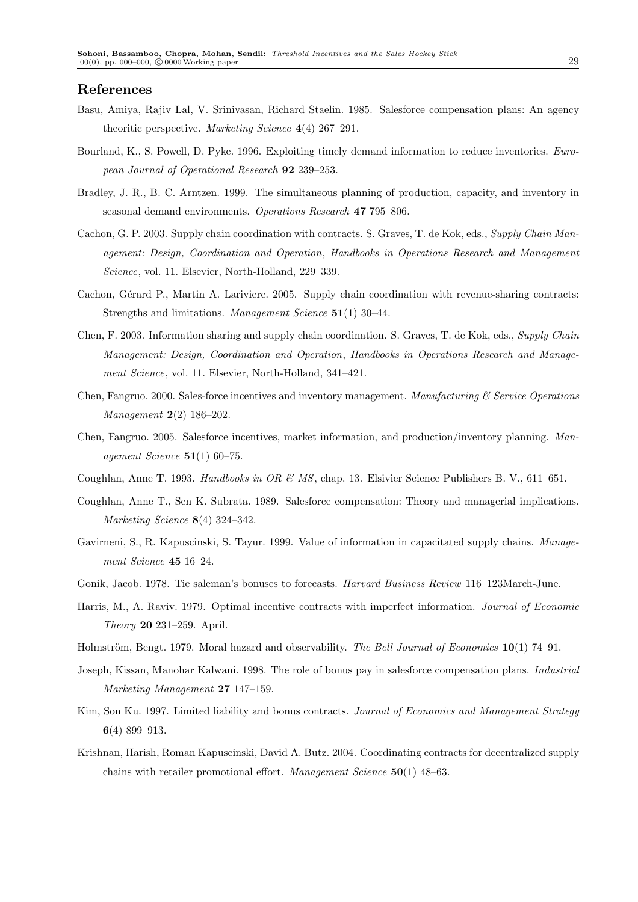#### References

- Basu, Amiya, Rajiv Lal, V. Srinivasan, Richard Staelin. 1985. Salesforce compensation plans: An agency theoritic perspective. Marketing Science 4(4) 267–291.
- Bourland, K., S. Powell, D. Pyke. 1996. Exploiting timely demand information to reduce inventories. European Journal of Operational Research 92 239–253.
- Bradley, J. R., B. C. Arntzen. 1999. The simultaneous planning of production, capacity, and inventory in seasonal demand environments. Operations Research 47 795–806.
- Cachon, G. P. 2003. Supply chain coordination with contracts. S. Graves, T. de Kok, eds., Supply Chain Management: Design, Coordination and Operation, Handbooks in Operations Research and Management Science, vol. 11. Elsevier, North-Holland, 229–339.
- Cachon, Gérard P., Martin A. Lariviere. 2005. Supply chain coordination with revenue-sharing contracts: Strengths and limitations. Management Science 51(1) 30–44.
- Chen, F. 2003. Information sharing and supply chain coordination. S. Graves, T. de Kok, eds., Supply Chain Management: Design, Coordination and Operation, Handbooks in Operations Research and Management Science, vol. 11. Elsevier, North-Holland, 341–421.
- Chen, Fangruo. 2000. Sales-force incentives and inventory management. Manufacturing  $\mathcal C$  Service Operations Management 2(2) 186–202.
- Chen, Fangruo. 2005. Salesforce incentives, market information, and production/inventory planning. Management Science  $51(1)$  60–75.
- Coughlan, Anne T. 1993. Handbooks in OR & MS, chap. 13. Elsivier Science Publishers B. V., 611–651.
- Coughlan, Anne T., Sen K. Subrata. 1989. Salesforce compensation: Theory and managerial implications. Marketing Science 8(4) 324–342.
- Gavirneni, S., R. Kapuscinski, S. Tayur. 1999. Value of information in capacitated supply chains. Management Science 45 16–24.
- Gonik, Jacob. 1978. Tie saleman's bonuses to forecasts. Harvard Business Review 116–123March-June.
- Harris, M., A. Raviv. 1979. Optimal incentive contracts with imperfect information. Journal of Economic Theory 20 231–259. April.
- Holmström, Bengt. 1979. Moral hazard and observability. The Bell Journal of Economics 10(1) 74–91.
- Joseph, Kissan, Manohar Kalwani. 1998. The role of bonus pay in salesforce compensation plans. Industrial Marketing Management 27 147–159.
- Kim, Son Ku. 1997. Limited liability and bonus contracts. Journal of Economics and Management Strategy 6(4) 899–913.
- Krishnan, Harish, Roman Kapuscinski, David A. Butz. 2004. Coordinating contracts for decentralized supply chains with retailer promotional effort. Management Science 50(1) 48–63.